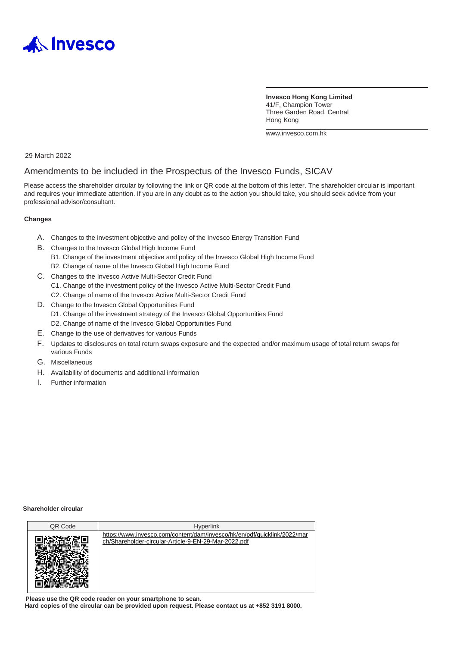

**Invesco Hong Kong Limited** 41/F, Champion Tower Three Garden Road, Central Hong Kong

[www.invesco.com.hk](http://www.invesco.com.hk/)

29 March 2022

#### Amendments to be included in the Prospectus of the Invesco Funds, SICAV

Please access the shareholder circular by following the link or QR code at the bottom of this letter. The shareholder circular is important and requires your immediate attention. If you are in any doubt as to the action you should take, you should seek advice from your professional advisor/consultant.

#### **Changes**

- A. Changes to the investment objective and policy of the Invesco Energy Transition Fund
- B. Changes to the Invesco Global High Income Fund
	- B1. Change of the investment objective and policy of the Invesco Global High Income Fund B2. Change of name of the Invesco Global High Income Fund
- C. Changes to the Invesco Active Multi-Sector Credit Fund
	- C1. Change of the investment policy of the Invesco Active Multi-Sector Credit Fund
	- C2. Change of name of the Invesco Active Multi-Sector Credit Fund
- D. Change to the Invesco Global Opportunities Fund D1. Change of the investment strategy of the Invesco Global Opportunities Fund D2. Change of name of the Invesco Global Opportunities Fund
- E. Change to the use of derivatives for various Funds
- F. Updates to disclosures on total return swaps exposure and the expected and/or maximum usage of total return swaps for various Funds
- G. Miscellaneous
- H. Availability of documents and additional information
- I. Further information

#### **Shareholder circular**

| QR Code | <b>Hyperlink</b>                                                                                                                 |
|---------|----------------------------------------------------------------------------------------------------------------------------------|
|         | https://www.invesco.com/content/dam/invesco/hk/en/pdf/quicklink/2022/mar<br>ch/Shareholder-circular-Article-9-EN-29-Mar-2022.pdf |

**Please use the QR code reader on your smartphone to scan. Hard copies of the circular can be provided upon request. Please contact us at +852 3191 8000.**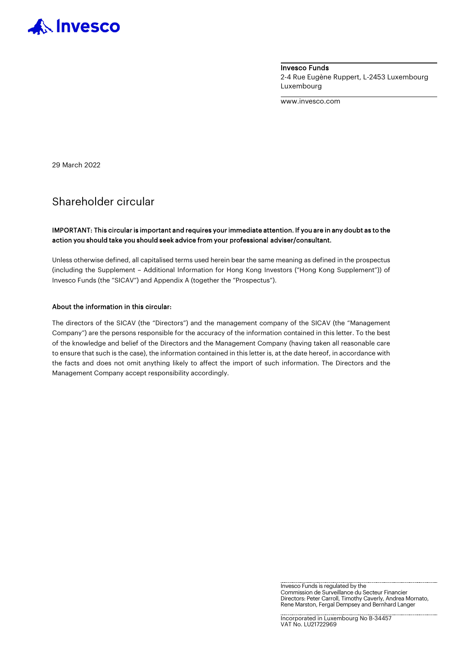

Invesco Funds 2-4 Rue Eugène Ruppert, L-2453 Luxembourg Luxembourg

www.invesco.com

29 March 2022

## Shareholder circular

#### IMPORTANT: This circular is important and requires your immediate attention. If you are in any doubt as to the action you should take you should seek advice from your professional adviser/consultant.

Unless otherwise defined, all capitalised terms used herein bear the same meaning as defined in the prospectus (including the Supplement – Additional Information for Hong Kong Investors ("Hong Kong Supplement")) of Invesco Funds (the "SICAV") and Appendix A (together the "Prospectus").

#### About the information in this circular:

The directors of the SICAV (the "Directors") and the management company of the SICAV (the "Management Company") are the persons responsible for the accuracy of the information contained in this letter. To the best of the knowledge and belief of the Directors and the Management Company (having taken all reasonable care to ensure that such is the case), the information contained in this letter is, at the date hereof, in accordance with the facts and does not omit anything likely to affect the import of such information. The Directors and the Management Company accept responsibility accordingly.

> Invesco Funds is regulated by the Commission de Surveillance du Secteur Financier Directors: Peter Carroll, Timothy Caverly, Andrea Mornato, Rene Marston, Fergal Dempsey and Bernhard Langer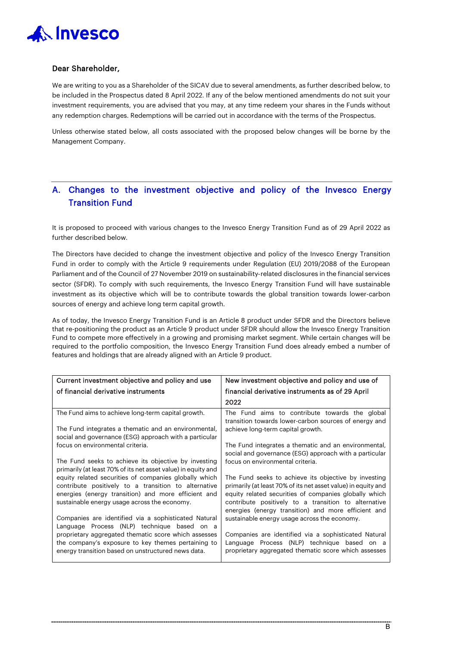

#### Dear Shareholder,

We are writing to you as a Shareholder of the SICAV due to several amendments, as further described below, to be included in the Prospectus dated 8 April 2022. If any of the below mentioned amendments do not suit your investment requirements, you are advised that you may, at any time redeem your shares in the Funds without any redemption charges. Redemptions will be carried out in accordance with the terms of the Prospectus.

Unless otherwise stated below, all costs associated with the proposed below changes will be borne by the Management Company.

## A. Changes to the investment objective and policy of the Invesco Energy Transition Fund

It is proposed to proceed with various changes to the Invesco Energy Transition Fund as of 29 April 2022 as further described below.

The Directors have decided to change the investment objective and policy of the Invesco Energy Transition Fund in order to comply with the Article 9 requirements under Regulation (EU) 2019/2088 of the European Parliament and of the Council of 27 November 2019 on sustainability-related disclosures in the financial services sector (SFDR). To comply with such requirements, the Invesco Energy Transition Fund will have sustainable investment as its objective which will be to contribute towards the global transition towards lower-carbon sources of energy and achieve long term capital growth.

As of today, the Invesco Energy Transition Fund is an Article 8 product under SFDR and the Directors believe that re-positioning the product as an Article 9 product under SFDR should allow the Invesco Energy Transition Fund to compete more effectively in a growing and promising market segment. While certain changes will be required to the portfolio composition, the Invesco Energy Transition Fund does already embed a number of features and holdings that are already aligned with an Article 9 product.

| Current investment objective and policy and use                                                                                                                                                                      | New investment objective and policy and use of                                                                                                                                                                                                                                                |
|----------------------------------------------------------------------------------------------------------------------------------------------------------------------------------------------------------------------|-----------------------------------------------------------------------------------------------------------------------------------------------------------------------------------------------------------------------------------------------------------------------------------------------|
| of financial derivative instruments                                                                                                                                                                                  | financial derivative instruments as of 29 April                                                                                                                                                                                                                                               |
|                                                                                                                                                                                                                      | 2022                                                                                                                                                                                                                                                                                          |
| The Fund aims to achieve long-term capital growth.                                                                                                                                                                   | The Fund aims to contribute towards the global<br>transition towards lower-carbon sources of energy and                                                                                                                                                                                       |
| The Fund integrates a thematic and an environmental,<br>social and governance (ESG) approach with a particular                                                                                                       | achieve long-term capital growth.                                                                                                                                                                                                                                                             |
| focus on environmental criteria.                                                                                                                                                                                     | The Fund integrates a thematic and an environmental,<br>social and governance (ESG) approach with a particular                                                                                                                                                                                |
| The Fund seeks to achieve its objective by investing<br>primarily (at least 70% of its net asset value) in equity and                                                                                                | focus on environmental criteria.                                                                                                                                                                                                                                                              |
| equity related securities of companies globally which<br>contribute positively to a transition to alternative<br>energies (energy transition) and more efficient and<br>sustainable energy usage across the economy. | The Fund seeks to achieve its objective by investing<br>primarily (at least 70% of its net asset value) in equity and<br>equity related securities of companies globally which<br>contribute positively to a transition to alternative<br>energies (energy transition) and more efficient and |
| Companies are identified via a sophisticated Natural<br>Language Process (NLP) technique based on a                                                                                                                  | sustainable energy usage across the economy.                                                                                                                                                                                                                                                  |
| proprietary aggregated thematic score which assesses<br>the company's exposure to key themes pertaining to<br>energy transition based on unstructured news data.                                                     | Companies are identified via a sophisticated Natural<br>Language Process (NLP) technique based on a<br>proprietary aggregated thematic score which assesses                                                                                                                                   |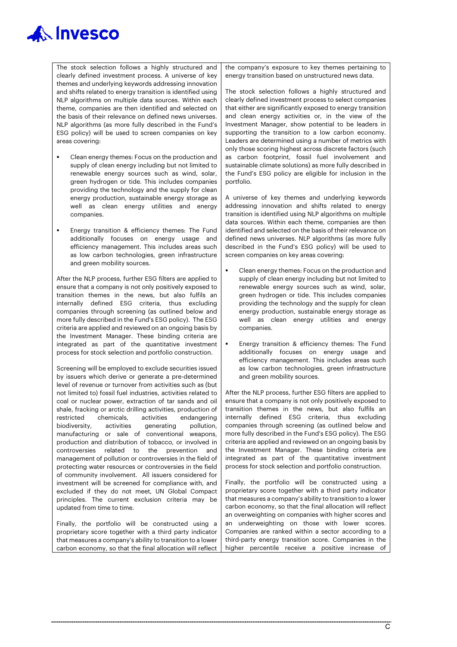The stock selection follows a highly structured and clearly defined investment process. A universe of key themes and underlying keywords addressing innovation and shifts related to energy transition is identified using NLP algorithms on multiple data sources. Within each theme, companies are then identified and selected on the basis of their relevance on defined news universes. NLP algorithms (as more fully described in the Fund's ESG policy) will be used to screen companies on key areas covering:

- Clean energy themes: Focus on the production and supply of clean energy including but not limited to renewable energy sources such as wind, solar, green hydrogen or tide. This includes companies providing the technology and the supply for clean energy production, sustainable energy storage as well as clean energy utilities and energy companies.
- **Energy transition & efficiency themes: The Fund** additionally focuses on energy usage and efficiency management. This includes areas such as low carbon technologies, green infrastructure and green mobility sources.

After the NLP process, further ESG filters are applied to ensure that a company is not only positively exposed to transition themes in the news, but also fulfils an internally defined ESG criteria, thus excluding companies through screening (as outlined below and more fully described in the Fund's ESG policy). The ESG criteria are applied and reviewed on an ongoing basis by the Investment Manager. These binding criteria are integrated as part of the quantitative investment process for stock selection and portfolio construction.

Screening will be employed to exclude securities issued by issuers which derive or generate a pre-determined level of revenue or turnover from activities such as (but not limited to) fossil fuel industries, activities related to coal or nuclear power, extraction of tar sands and oil shale, fracking or arctic drilling activities, production of restricted chemicals, activities endangering biodiversity, activities generating pollution, manufacturing or sale of conventional weapons, production and distribution of tobacco, or involved in controversies related to the prevention and management of pollution or controversies in the field of protecting water resources or controversies in the field of community involvement. All issuers considered for investment will be screened for compliance with, and excluded if they do not meet, UN Global Compact principles. The current exclusion criteria may be updated from time to time.

Finally, the portfolio will be constructed using a proprietary score together with a third party indicator that measures a company's ability to transition to a lower carbon economy, so that the final allocation will reflect

the company's exposure to key themes pertaining to energy transition based on unstructured news data.

The stock selection follows a highly structured and clearly defined investment process to select companies that either are significantly exposed to energy transition and clean energy activities or, in the view of the Investment Manager, show potential to be leaders in supporting the transition to a low carbon economy. Leaders are determined using a number of metrics with only those scoring highest across discrete factors (such as carbon footprint, fossil fuel involvement and sustainable climate solutions) as more fully described in the Fund's ESG policy are eligible for inclusion in the portfolio.

A universe of key themes and underlying keywords addressing innovation and shifts related to energy transition is identified using NLP algorithms on multiple data sources. Within each theme, companies are then identified and selected on the basis of their relevance on defined news universes. NLP algorithms (as more fully described in the Fund's ESG policy) will be used to screen companies on key areas covering:

- Clean energy themes: Focus on the production and supply of clean energy including but not limited to renewable energy sources such as wind, solar, green hydrogen or tide. This includes companies providing the technology and the supply for clean energy production, sustainable energy storage as well as clean energy utilities and energy companies.
- Energy transition & efficiency themes: The Fund additionally focuses on energy usage and efficiency management. This includes areas such as low carbon technologies, green infrastructure and green mobility sources.

After the NLP process, further ESG filters are applied to ensure that a company is not only positively exposed to transition themes in the news, but also fulfils an internally defined ESG criteria, thus excluding companies through screening (as outlined below and more fully described in the Fund's ESG policy). The ESG criteria are applied and reviewed on an ongoing basis by the Investment Manager. These binding criteria are integrated as part of the quantitative investment process for stock selection and portfolio construction.

Finally, the portfolio will be constructed using a proprietary score together with a third party indicator that measures a company's ability to transition to a lower carbon economy, so that the final allocation will reflect an overweighting on companies with higher scores and an underweighting on those with lower scores. Companies are ranked within a sector according to a third-party energy transition score. Companies in the higher percentile receive a positive increase of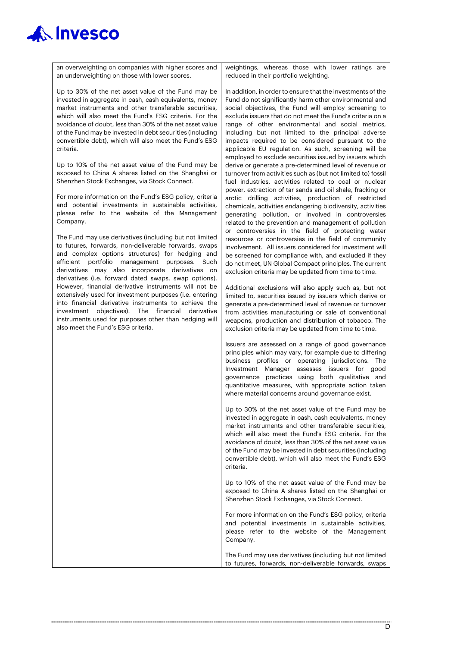

an overweighting on companies with higher scores and an underweighting on those with lower scores.

Up to 30% of the net asset value of the Fund may be invested in aggregate in cash, cash equivalents, money market instruments and other transferable securities, which will also meet the Fund's ESG criteria. For the avoidance of doubt, less than 30% of the net asset value of the Fund may be invested in debt securities (including convertible debt), which will also meet the Fund's ESG criteria.

Up to 10% of the net asset value of the Fund may be exposed to China A shares listed on the Shanghai or Shenzhen Stock Exchanges, via Stock Connect.

For more information on the Fund's ESG policy, criteria and potential investments in sustainable activities, please refer to the website of the Management Company.

The Fund may use derivatives (including but not limited to futures, forwards, non-deliverable forwards, swaps and complex options structures) for hedging and efficient portfolio management purposes. Such derivatives may also incorporate derivatives on derivatives (i.e. forward dated swaps, swap options). However, financial derivative instruments will not be extensively used for investment purposes (i.e. entering into financial derivative instruments to achieve the investment objectives). The financial derivative instruments used for purposes other than hedging will also meet the Fund's ESG criteria.

weightings, whereas those with lower ratings are reduced in their portfolio weighting.

In addition, in order to ensure that the investments of the Fund do not significantly harm other environmental and social objectives, the Fund will employ screening to exclude issuers that do not meet the Fund's criteria on a range of other environmental and social metrics, including but not limited to the principal adverse impacts required to be considered pursuant to the applicable EU regulation. As such, screening will be employed to exclude securities issued by issuers which derive or generate a pre-determined level of revenue or turnover from activities such as (but not limited to) fossil fuel industries, activities related to coal or nuclear power, extraction of tar sands and oil shale, fracking or arctic drilling activities, production of restricted chemicals, activities endangering biodiversity, activities generating pollution, or involved in controversies related to the prevention and management of pollution or controversies in the field of protecting water resources or controversies in the field of community involvement. All issuers considered for investment will be screened for compliance with, and excluded if they do not meet, UN Global Compact principles. The current exclusion criteria may be updated from time to time.

Additional exclusions will also apply such as, but not limited to, securities issued by issuers which derive or generate a pre-determined level of revenue or turnover from activities manufacturing or sale of conventional weapons, production and distribution of tobacco. The exclusion criteria may be updated from time to time.

Issuers are assessed on a range of good governance principles which may vary, for example due to differing business profiles or operating jurisdictions. The Investment Manager assesses issuers for good governance practices using both qualitative and quantitative measures, with appropriate action taken where material concerns around governance exist.

Up to 30% of the net asset value of the Fund may be invested in aggregate in cash, cash equivalents, money market instruments and other transferable securities, which will also meet the Fund's ESG criteria. For the avoidance of doubt, less than 30% of the net asset value of the Fund may be invested in debt securities (including convertible debt), which will also meet the Fund's ESG criteria.

Up to 10% of the net asset value of the Fund may be exposed to China A shares listed on the Shanghai or Shenzhen Stock Exchanges, via Stock Connect.

For more information on the Fund's ESG policy, criteria and potential investments in sustainable activities, please refer to the website of the Management Company.

The Fund may use derivatives (including but not limited to futures, forwards, non-deliverable forwards, swaps

 $\overline{\mathsf{D}}$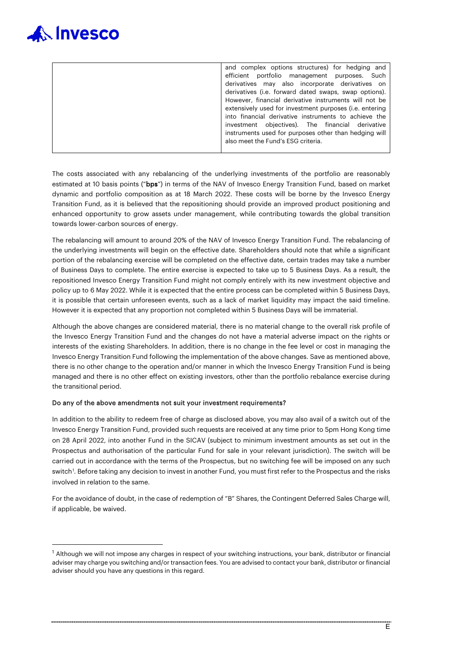

| and complex options structures) for hedging and<br>efficient portfolio management purposes. Such<br>derivatives may also incorporate derivatives on<br>derivatives (i.e. forward dated swaps, swap options).<br>However, financial derivative instruments will not be<br>extensively used for investment purposes (i.e. entering<br>into financial derivative instruments to achieve the<br>investment objectives). The financial derivative |
|----------------------------------------------------------------------------------------------------------------------------------------------------------------------------------------------------------------------------------------------------------------------------------------------------------------------------------------------------------------------------------------------------------------------------------------------|
| instruments used for purposes other than hedging will<br>also meet the Fund's ESG criteria.                                                                                                                                                                                                                                                                                                                                                  |
|                                                                                                                                                                                                                                                                                                                                                                                                                                              |

The costs associated with any rebalancing of the underlying investments of the portfolio are reasonably estimated at 10 basis points ("bps") in terms of the NAV of Invesco Energy Transition Fund, based on market dynamic and portfolio composition as at 18 March 2022. These costs will be borne by the Invesco Energy Transition Fund, as it is believed that the repositioning should provide an improved product positioning and enhanced opportunity to grow assets under management, while contributing towards the global transition towards lower-carbon sources of energy.

The rebalancing will amount to around 20% of the NAV of Invesco Energy Transition Fund. The rebalancing of the underlying investments will begin on the effective date. Shareholders should note that while a significant portion of the rebalancing exercise will be completed on the effective date, certain trades may take a number of Business Days to complete. The entire exercise is expected to take up to 5 Business Days. As a result, the repositioned Invesco Energy Transition Fund might not comply entirely with its new investment objective and policy up to 6 May 2022. While it is expected that the entire process can be completed within 5 Business Days, it is possible that certain unforeseen events, such as a lack of market liquidity may impact the said timeline. However it is expected that any proportion not completed within 5 Business Days will be immaterial.

Although the above changes are considered material, there is no material change to the overall risk profile of the Invesco Energy Transition Fund and the changes do not have a material adverse impact on the rights or interests of the existing Shareholders. In addition, there is no change in the fee level or cost in managing the Invesco Energy Transition Fund following the implementation of the above changes. Save as mentioned above, there is no other change to the operation and/or manner in which the Invesco Energy Transition Fund is being managed and there is no other effect on existing investors, other than the portfolio rebalance exercise during the transitional period.

#### Do any of the above amendments not suit your investment requirements?

In addition to the ability to redeem free of charge as disclosed above, you may also avail of a switch out of the Invesco Energy Transition Fund, provided such requests are received at any time prior to 5pm Hong Kong time on 28 April 2022, into another Fund in the SICAV (subject to minimum investment amounts as set out in the Prospectus and authorisation of the particular Fund for sale in your relevant jurisdiction). The switch will be carried out in accordance with the terms of the Prospectus, but no switching fee will be imposed on any such switch<sup>[1](#page-5-0)</sup>. Before taking any decision to invest in another Fund, you must first refer to the Prospectus and the risks involved in relation to the same.

For the avoidance of doubt, in the case of redemption of "B" Shares, the Contingent Deferred Sales Charge will, if applicable, be waived.

<span id="page-5-0"></span> $<sup>1</sup>$  Although we will not impose any charges in respect of your switching instructions, your bank, distributor or financial</sup> adviser may charge you switching and/or transaction fees. You are advised to contact your bank, distributor or financial adviser should you have any questions in this regard.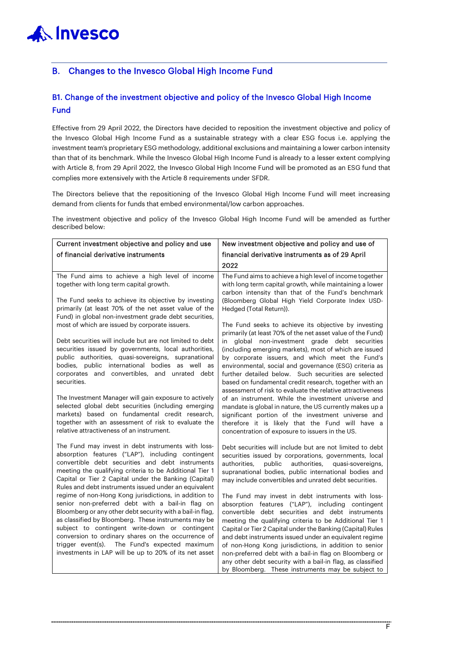## B. Changes to the Invesco Global High Income Fund

## B1. Change of the investment objective and policy of the Invesco Global High Income Fund

Effective from 29 April 2022, the Directors have decided to reposition the investment objective and policy of the Invesco Global High Income Fund as a sustainable strategy with a clear ESG focus i.e. applying the investment team's proprietary ESG methodology, additional exclusions and maintaining a lower carbon intensity than that of its benchmark. While the Invesco Global High Income Fund is already to a lesser extent complying with Article 8, from 29 April 2022, the Invesco Global High Income Fund will be promoted as an ESG fund that complies more extensively with the Article 8 requirements under SFDR.

The Directors believe that the repositioning of the Invesco Global High Income Fund will meet increasing demand from clients for funds that embed environmental/low carbon approaches.

The investment objective and policy of the Invesco Global High Income Fund will be amended as further described below:

| Current investment objective and policy and use                                                                                                                                                                                                                                                                                                                                                                                                  | New investment objective and policy and use of                                                                                                                                                                                                                                                                                                                                                                                                                                                                                   |
|--------------------------------------------------------------------------------------------------------------------------------------------------------------------------------------------------------------------------------------------------------------------------------------------------------------------------------------------------------------------------------------------------------------------------------------------------|----------------------------------------------------------------------------------------------------------------------------------------------------------------------------------------------------------------------------------------------------------------------------------------------------------------------------------------------------------------------------------------------------------------------------------------------------------------------------------------------------------------------------------|
| of financial derivative instruments                                                                                                                                                                                                                                                                                                                                                                                                              | financial derivative instruments as of 29 April                                                                                                                                                                                                                                                                                                                                                                                                                                                                                  |
|                                                                                                                                                                                                                                                                                                                                                                                                                                                  | 2022                                                                                                                                                                                                                                                                                                                                                                                                                                                                                                                             |
| The Fund aims to achieve a high level of income<br>together with long term capital growth.                                                                                                                                                                                                                                                                                                                                                       | The Fund aims to achieve a high level of income together<br>with long term capital growth, while maintaining a lower<br>carbon intensity than that of the Fund's benchmark                                                                                                                                                                                                                                                                                                                                                       |
| The Fund seeks to achieve its objective by investing<br>primarily (at least 70% of the net asset value of the<br>Fund) in global non-investment grade debt securities,                                                                                                                                                                                                                                                                           | (Bloomberg Global High Yield Corporate Index USD-<br>Hedged (Total Return)).                                                                                                                                                                                                                                                                                                                                                                                                                                                     |
| most of which are issued by corporate issuers.<br>Debt securities will include but are not limited to debt<br>securities issued by governments, local authorities,                                                                                                                                                                                                                                                                               | The Fund seeks to achieve its objective by investing<br>primarily (at least 70% of the net asset value of the Fund)<br>in global non-investment grade debt securities<br>(including emerging markets), most of which are issued                                                                                                                                                                                                                                                                                                  |
| public authorities, quasi-sovereigns, supranational<br>bodies, public international bodies as well as<br>corporates and convertibles, and unrated debt<br>securities.                                                                                                                                                                                                                                                                            | by corporate issuers, and which meet the Fund's<br>environmental, social and governance (ESG) criteria as<br>further detailed below. Such securities are selected<br>based on fundamental credit research, together with an<br>assessment of risk to evaluate the relative attractiveness                                                                                                                                                                                                                                        |
| The Investment Manager will gain exposure to actively<br>selected global debt securities (including emerging<br>markets) based on fundamental credit research,<br>together with an assessment of risk to evaluate the<br>relative attractiveness of an instrument.                                                                                                                                                                               | of an instrument. While the investment universe and<br>mandate is global in nature, the US currently makes up a<br>significant portion of the investment universe and<br>therefore it is likely that the Fund will have a<br>concentration of exposure to issuers in the US.                                                                                                                                                                                                                                                     |
| The Fund may invest in debt instruments with loss-<br>absorption features ("LAP"), including contingent<br>convertible debt securities and debt instruments<br>meeting the qualifying criteria to be Additional Tier 1<br>Capital or Tier 2 Capital under the Banking (Capital)<br>Rules and debt instruments issued under an equivalent                                                                                                         | Debt securities will include but are not limited to debt<br>securities issued by corporations, governments, local<br>public<br>authorities,<br>quasi-sovereigns,<br>authorities.<br>supranational bodies, public international bodies and<br>may include convertibles and unrated debt securities.                                                                                                                                                                                                                               |
| regime of non-Hong Kong jurisdictions, in addition to<br>senior non-preferred debt with a bail-in flag on<br>Bloomberg or any other debt security with a bail-in flag,<br>as classified by Bloomberg. These instruments may be<br>subject to contingent write-down or contingent<br>conversion to ordinary shares on the occurrence of<br>trigger event(s). The Fund's expected maximum<br>investments in LAP will be up to 20% of its net asset | The Fund may invest in debt instruments with loss-<br>absorption features ("LAP"), including contingent<br>convertible debt securities and debt instruments<br>meeting the qualifying criteria to be Additional Tier 1<br>Capital or Tier 2 Capital under the Banking (Capital) Rules<br>and debt instruments issued under an equivalent regime<br>of non-Hong Kong jurisdictions, in addition to senior<br>non-preferred debt with a bail-in flag on Bloomberg or<br>any other debt security with a bail-in flag, as classified |
|                                                                                                                                                                                                                                                                                                                                                                                                                                                  | by Bloomberg. These instruments may be subject to                                                                                                                                                                                                                                                                                                                                                                                                                                                                                |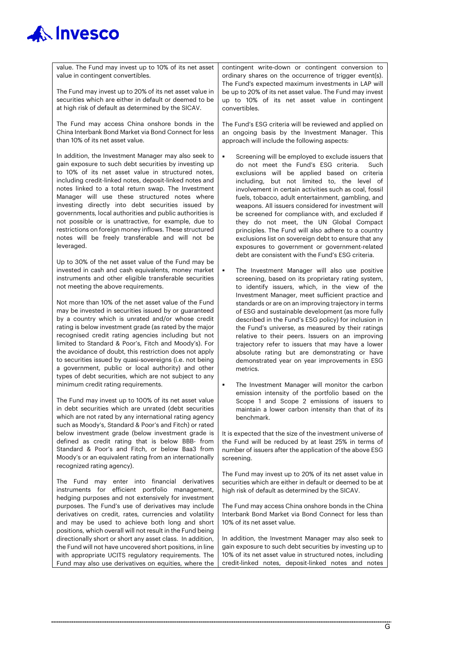| value. The Fund may invest up to 10% of its net asset<br>value in contingent convertibles.                                                                                                                                                                                                                                             | contingent write-down or contingent conversion to<br>ordinary shares on the occurrence of trigger event(s).<br>The Fund's expected maximum investments in LAP will                                                                                                                                             |
|----------------------------------------------------------------------------------------------------------------------------------------------------------------------------------------------------------------------------------------------------------------------------------------------------------------------------------------|----------------------------------------------------------------------------------------------------------------------------------------------------------------------------------------------------------------------------------------------------------------------------------------------------------------|
| The Fund may invest up to 20% of its net asset value in<br>securities which are either in default or deemed to be<br>at high risk of default as determined by the SICAV.                                                                                                                                                               | be up to 20% of its net asset value. The Fund may invest<br>up to 10% of its net asset value in contingent<br>convertibles.                                                                                                                                                                                    |
| The Fund may access China onshore bonds in the<br>China Interbank Bond Market via Bond Connect for less<br>than 10% of its net asset value.                                                                                                                                                                                            | The Fund's ESG criteria will be reviewed and applied on<br>an ongoing basis by the Investment Manager. This<br>approach will include the following aspects:                                                                                                                                                    |
| In addition, the Investment Manager may also seek to<br>gain exposure to such debt securities by investing up<br>to 10% of its net asset value in structured notes,<br>including credit-linked notes, deposit-linked notes and<br>notes linked to a total return swap. The Investment<br>Manager will use these structured notes where | Screening will be employed to exclude issuers that<br>do not meet the Fund's ESG criteria. Such<br>exclusions will be applied based on criteria<br>including, but not limited to, the level of<br>involvement in certain activities such as coal, fossil<br>fuels, tobacco, adult entertainment, gambling, and |

investing directly into debt securities issued by governments, local authorities and public authorities is not possible or is unattractive, for example, due to restrictions on foreign money inflows. These structured notes will be freely transferable and will not be leveraged.

Up to 30% of the net asset value of the Fund may be invested in cash and cash equivalents, money market instruments and other eligible transferable securities not meeting the above requirements.

Not more than 10% of the net asset value of the Fund may be invested in securities issued by or guaranteed by a country which is unrated and/or whose credit rating is below investment grade (as rated by the major recognised credit rating agencies including but not limited to Standard & Poor's, Fitch and Moody's). For the avoidance of doubt, this restriction does not apply to securities issued by quasi-sovereigns (i.e. not being a government, public or local authority) and other types of debt securities, which are not subject to any minimum credit rating requirements.

The Fund may invest up to 100% of its net asset value in debt securities which are unrated (debt securities which are not rated by any international rating agency such as Moody's, Standard & Poor's and Fitch) or rated below investment grade (below investment grade is defined as credit rating that is below BBB- from Standard & Poor's and Fitch, or below Baa3 from Moody's or an equivalent rating from an internationally recognized rating agency).

The Fund may enter into financial derivatives instruments for efficient portfolio management, hedging purposes and not extensively for investment purposes. The Fund's use of derivatives may include derivatives on credit, rates, currencies and volatility and may be used to achieve both long and short positions, which overall will not result in the Fund being directionally short or short any asset class. In addition, the Fund will not have uncovered short positions, in line with appropriate UCITS regulatory requirements. The Fund may also use derivatives on equities, where the

- do not meet the Fund's ESG criteria. Such exclusions will be applied based on criteria including, but not limited to, the level of involvement in certain activities such as coal, fossil fuels, tobacco, adult entertainment, gambling, and weapons. All issuers considered for investment will be screened for compliance with, and excluded if they do not meet, the UN Global Compact principles. The Fund will also adhere to a country exclusions list on sovereign debt to ensure that any exposures to government or government-related debt are consistent with the Fund's ESG criteria.
- The Investment Manager will also use positive screening, based on its proprietary rating system, to identify issuers, which, in the view of the Investment Manager, meet sufficient practice and standards or are on an improving trajectory in terms of ESG and sustainable development (as more fully described in the Fund's ESG policy) for inclusion in the Fund's universe, as measured by their ratings relative to their peers. Issuers on an improving trajectory refer to issuers that may have a lower absolute rating but are demonstrating or have demonstrated year on year improvements in ESG metrics.
- **F** The Investment Manager will monitor the carbon emission intensity of the portfolio based on the Scope 1 and Scope 2 emissions of issuers to maintain a lower carbon intensity than that of its benchmark.

It is expected that the size of the investment universe of the Fund will be reduced by at least 25% in terms of number of issuers after the application of the above ESG screening.

The Fund may invest up to 20% of its net asset value in securities which are either in default or deemed to be at high risk of default as determined by the SICAV.

The Fund may access China onshore bonds in the China Interbank Bond Market via Bond Connect for less than 10% of its net asset value.

In addition, the Investment Manager may also seek to gain exposure to such debt securities by investing up to 10% of its net asset value in structured notes, including credit-linked notes, deposit-linked notes and notes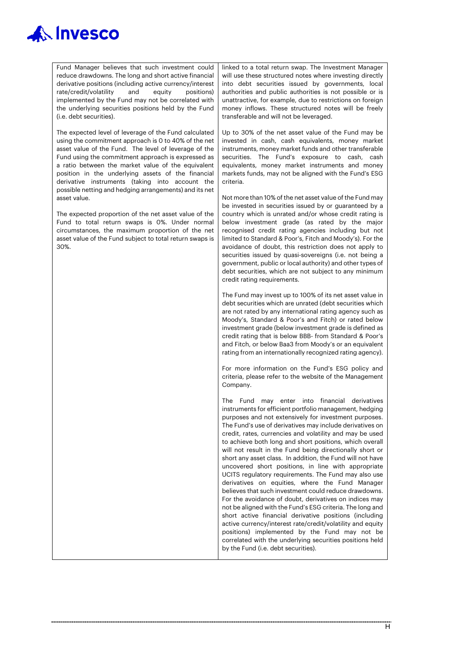Fund Manager believes that such investment could reduce drawdowns. The long and short active financial derivative positions (including active currency/interest rate/credit/volatility and equity positions) implemented by the Fund may not be correlated with the underlying securities positions held by the Fund (i.e. debt securities).

The expected level of leverage of the Fund calculated using the commitment approach is 0 to 40% of the net asset value of the Fund. The level of leverage of the Fund using the commitment approach is expressed as a ratio between the market value of the equivalent position in the underlying assets of the financial derivative instruments (taking into account the possible netting and hedging arrangements) and its net asset value.

The expected proportion of the net asset value of the Fund to total return swaps is 0%. Under normal circumstances, the maximum proportion of the net asset value of the Fund subject to total return swaps is 30%.

linked to a total return swap. The Investment Manager will use these structured notes where investing directly into debt securities issued by governments, local authorities and public authorities is not possible or is unattractive, for example, due to restrictions on foreign money inflows. These structured notes will be freely transferable and will not be leveraged.

Up to 30% of the net asset value of the Fund may be invested in cash, cash equivalents, money market instruments, money market funds and other transferable securities. The Fund's exposure to cash, cash equivalents, money market instruments and money markets funds, may not be aligned with the Fund's ESG criteria.

Not more than 10% of the net asset value of the Fund may be invested in securities issued by or guaranteed by a country which is unrated and/or whose credit rating is below investment grade (as rated by the major recognised credit rating agencies including but not limited to Standard & Poor's, Fitch and Moody's). For the avoidance of doubt, this restriction does not apply to securities issued by quasi-sovereigns (i.e. not being a government, public or local authority) and other types of debt securities, which are not subject to any minimum credit rating requirements.

The Fund may invest up to 100% of its net asset value in debt securities which are unrated (debt securities which are not rated by any international rating agency such as Moody's, Standard & Poor's and Fitch) or rated below investment grade (below investment grade is defined as credit rating that is below BBB- from Standard & Poor's and Fitch, or below Baa3 from Moody's or an equivalent rating from an internationally recognized rating agency).

For more information on the Fund's ESG policy and criteria, please refer to the website of the Management Company.

The Fund may enter into financial derivatives instruments for efficient portfolio management, hedging purposes and not extensively for investment purposes. The Fund's use of derivatives may include derivatives on credit, rates, currencies and volatility and may be used to achieve both long and short positions, which overall will not result in the Fund being directionally short or short any asset class. In addition, the Fund will not have uncovered short positions, in line with appropriate UCITS regulatory requirements. The Fund may also use derivatives on equities, where the Fund Manager believes that such investment could reduce drawdowns. For the avoidance of doubt, derivatives on indices may not be aligned with the Fund's ESG criteria. The long and short active financial derivative positions (including active currency/interest rate/credit/volatility and equity positions) implemented by the Fund may not be correlated with the underlying securities positions held by the Fund (i.e. debt securities).

H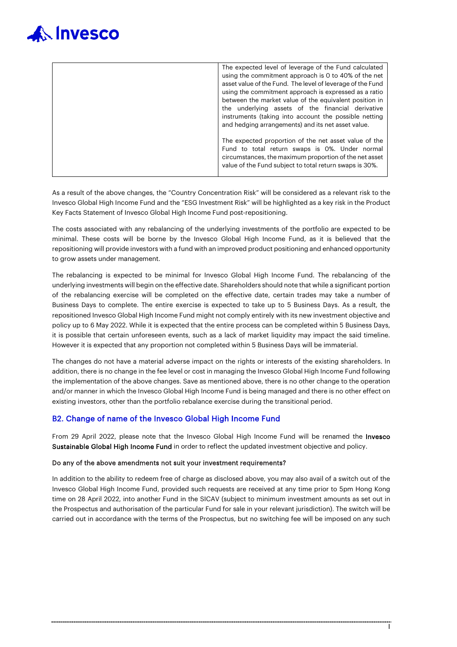

| The expected level of leverage of the Fund calculated<br>using the commitment approach is 0 to 40% of the net<br>asset value of the Fund. The level of leverage of the Fund<br>using the commitment approach is expressed as a ratio<br>between the market value of the equivalent position in<br>the underlying assets of the financial derivative |
|-----------------------------------------------------------------------------------------------------------------------------------------------------------------------------------------------------------------------------------------------------------------------------------------------------------------------------------------------------|
| instruments (taking into account the possible netting                                                                                                                                                                                                                                                                                               |
| and hedging arrangements) and its net asset value.                                                                                                                                                                                                                                                                                                  |
| The expected proportion of the net asset value of the                                                                                                                                                                                                                                                                                               |
|                                                                                                                                                                                                                                                                                                                                                     |
| Fund to total return swaps is 0%. Under normal<br>circumstances, the maximum proportion of the net asset<br>value of the Fund subject to total return swaps is 30%.                                                                                                                                                                                 |
|                                                                                                                                                                                                                                                                                                                                                     |

As a result of the above changes, the "Country Concentration Risk" will be considered as a relevant risk to the Invesco Global High Income Fund and the "ESG Investment Risk" will be highlighted as a key risk in the Product Key Facts Statement of Invesco Global High Income Fund post-repositioning.

The costs associated with any rebalancing of the underlying investments of the portfolio are expected to be minimal. These costs will be borne by the Invesco Global High Income Fund, as it is believed that the repositioning will provide investors with a fund with an improved product positioning and enhanced opportunity to grow assets under management.

The rebalancing is expected to be minimal for Invesco Global High Income Fund. The rebalancing of the underlying investments will begin on the effective date. Shareholders should note that while a significant portion of the rebalancing exercise will be completed on the effective date, certain trades may take a number of Business Days to complete. The entire exercise is expected to take up to 5 Business Days. As a result, the repositioned Invesco Global High Income Fund might not comply entirely with its new investment objective and policy up to 6 May 2022. While it is expected that the entire process can be completed within 5 Business Days, it is possible that certain unforeseen events, such as a lack of market liquidity may impact the said timeline. However it is expected that any proportion not completed within 5 Business Days will be immaterial.

The changes do not have a material adverse impact on the rights or interests of the existing shareholders. In addition, there is no change in the fee level or cost in managing the Invesco Global High Income Fund following the implementation of the above changes. Save as mentioned above, there is no other change to the operation and/or manner in which the Invesco Global High Income Fund is being managed and there is no other effect on existing investors, other than the portfolio rebalance exercise during the transitional period.

#### B2. Change of name of the Invesco Global High Income Fund

From 29 April 2022, please note that the Invesco Global High Income Fund will be renamed the Invesco Sustainable Global High Income Fund in order to reflect the updated investment objective and policy.

#### Do any of the above amendments not suit your investment requirements?

In addition to the ability to redeem free of charge as disclosed above, you may also avail of a switch out of the Invesco Global High Income Fund, provided such requests are received at any time prior to 5pm Hong Kong time on 28 April 2022, into another Fund in the SICAV (subject to minimum investment amounts as set out in the Prospectus and authorisation of the particular Fund for sale in your relevant jurisdiction). The switch will be carried out in accordance with the terms of the Prospectus, but no switching fee will be imposed on any such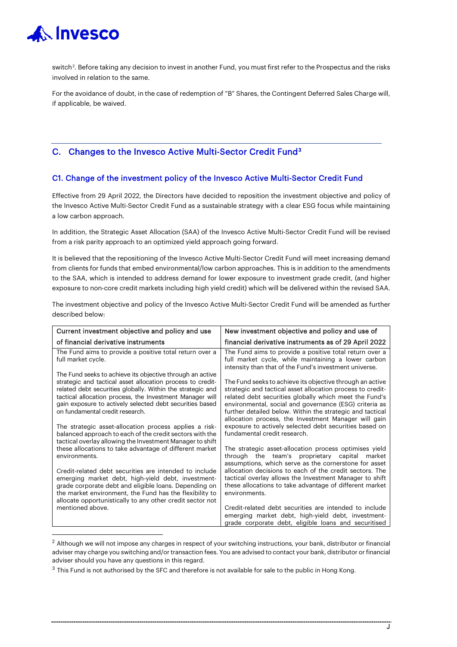

switch $^2$  $^2$ . Before taking any decision to invest in another Fund, you must first refer to the Prospectus and the risks involved in relation to the same.

For the avoidance of doubt, in the case of redemption of "B" Shares, the Contingent Deferred Sales Charge will, if applicable, be waived.

### C. Changes to the Invesco Active Multi-Sector Credit Fund[3](#page-10-1)

#### C1. Change of the investment policy of the Invesco Active Multi-Sector Credit Fund

Effective from 29 April 2022, the Directors have decided to reposition the investment objective and policy of the Invesco Active Multi-Sector Credit Fund as a sustainable strategy with a clear ESG focus while maintaining a low carbon approach.

In addition, the Strategic Asset Allocation (SAA) of the Invesco Active Multi-Sector Credit Fund will be revised from a risk parity approach to an optimized yield approach going forward.

It is believed that the repositioning of the Invesco Active Multi-Sector Credit Fund will meet increasing demand from clients for funds that embed environmental/low carbon approaches. This is in addition to the amendments to the SAA, which is intended to address demand for lower exposure to investment grade credit, (and higher exposure to non-core credit markets including high yield credit) which will be delivered within the revised SAA.

The investment objective and policy of the Invesco Active Multi-Sector Credit Fund will be amended as further described below:

| Current investment objective and policy and use                                                                                                                                                                                                                                                                                                  | New investment objective and policy and use of                                                                                                                                                                                                                                                                                                                   |
|--------------------------------------------------------------------------------------------------------------------------------------------------------------------------------------------------------------------------------------------------------------------------------------------------------------------------------------------------|------------------------------------------------------------------------------------------------------------------------------------------------------------------------------------------------------------------------------------------------------------------------------------------------------------------------------------------------------------------|
| of financial derivative instruments                                                                                                                                                                                                                                                                                                              | financial derivative instruments as of 29 April 2022                                                                                                                                                                                                                                                                                                             |
| The Fund aims to provide a positive total return over a<br>full market cycle.                                                                                                                                                                                                                                                                    | The Fund aims to provide a positive total return over a<br>full market cycle, while maintaining a lower carbon<br>intensity than that of the Fund's investment universe.                                                                                                                                                                                         |
| The Fund seeks to achieve its objective through an active<br>strategic and tactical asset allocation process to credit-<br>related debt securities globally. Within the strategic and<br>tactical allocation process, the Investment Manager will<br>gain exposure to actively selected debt securities based<br>on fundamental credit research. | The Fund seeks to achieve its objective through an active<br>strategic and tactical asset allocation process to credit-<br>related debt securities globally which meet the Fund's<br>environmental, social and governance (ESG) criteria as<br>further detailed below. Within the strategic and tactical<br>allocation process, the Investment Manager will gain |
| The strategic asset-allocation process applies a risk-<br>balanced approach to each of the credit sectors with the<br>tactical overlay allowing the Investment Manager to shift                                                                                                                                                                  | exposure to actively selected debt securities based on<br>fundamental credit research.                                                                                                                                                                                                                                                                           |
| these allocations to take advantage of different market<br>environments.                                                                                                                                                                                                                                                                         | The strategic asset-allocation process optimises yield<br>through the team's proprietary capital market<br>assumptions, which serve as the cornerstone for asset                                                                                                                                                                                                 |
| Credit-related debt securities are intended to include<br>emerging market debt, high-yield debt, investment-<br>grade corporate debt and eligible loans. Depending on<br>the market environment, the Fund has the flexibility to<br>allocate opportunistically to any other credit sector not                                                    | allocation decisions to each of the credit sectors. The<br>tactical overlay allows the Investment Manager to shift<br>these allocations to take advantage of different market<br>environments.                                                                                                                                                                   |
| mentioned above.                                                                                                                                                                                                                                                                                                                                 | Credit-related debt securities are intended to include<br>emerging market debt, high-yield debt, investment-<br>grade corporate debt, eligible loans and securitised                                                                                                                                                                                             |

<span id="page-10-0"></span> $<sup>2</sup>$  Although we will not impose any charges in respect of your switching instructions, your bank, distributor or financial</sup> adviser may charge you switching and/or transaction fees. You are advised to contact your bank, distributor or financial adviser should you have any questions in this regard.

<span id="page-10-1"></span><sup>&</sup>lt;sup>3</sup> This Fund is not authorised by the SFC and therefore is not available for sale to the public in Hong Kong.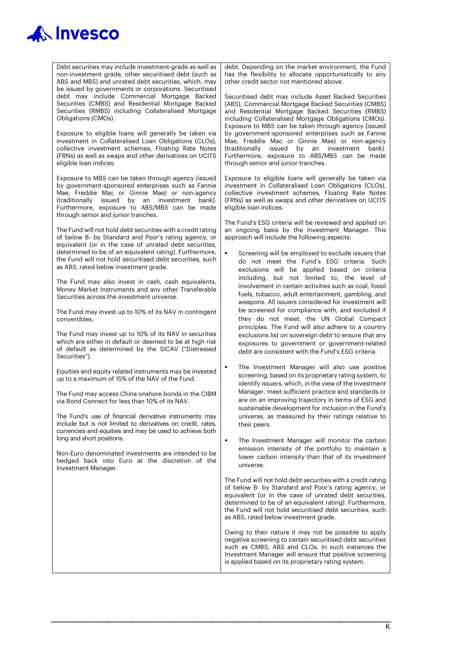

Debt securities may include investment-grade as well as non-investment grade, other securitised debt (such as ABS and MBS) and unrated debt securities, which, may be issued by governments or corporations. Securitised debt may include Commercial Mortgage Backed Securities (CMBS) and Residential Mortgage Backed Securities (RMBS) including Collateralised Mortgage Obligations (CMOs).

Exposure to eligible loans will generally be taken via investment in Collateralised Loan Obligations (CLOs), collective investment schemes, Floating Rate Notes (FRNs) as well as swaps and other derivatives on UCITS eligible loan indices.

Exposure to MBS can be taken through agency (issued by government-sponsored enterprises such as Fannie Mae, Freddie Mac or Ginnie Mae) or non-agency (traditionally issued by an investment bank). Furthermore, exposure to ABS/MBS can be made through senior and junior tranches.

The Fund will not hold debt securities with a credit rating of below B- by Standard and Poor's rating agency, or equivalent (or in the case of unrated debt securities, determined to be of an equivalent rating). Furthermore, the Fund will not hold securitised debt securities, such as ABS, rated below investment grade.

The Fund may also invest in cash, cash equivalents, Money Market Instruments and any other Transferable Securities across the investment universe.

The Fund may invest up to 10% of its NAV in contingent convertibles.

The Fund may invest up to 10% of its NAV in securities which are either in default or deemed to be at high risk of default as determined by the SICAV ("Distressed Securities").

Equities and equity related instruments may be invested up to a maximum of 15% of the NAV of the Fund.

The Fund may access China onshore bonds in the CIBM via Bond Connect for less than 10% of its NAV.

The Fund's use of financial derivative instruments may include but is not limited to derivatives on credit, rates, currencies and equities and may be used to achieve both long and short positions.

Non-Euro denominated investments are intended to be hedged back into Euro at the discretion of the Investment Manager.

debt. Depending on the market environment, the Fund has the flexibility to allocate opportunistically to any other credit sector not mentioned above.

Securitised debt may include Asset Backed Securities (ABS), Commercial Mortgage Backed Securities (CMBS) and Residential Mortgage Backed Securities (RMBS) including Collateralised Mortgage Obligations (CMOs). Exposure to MBS can be taken through agency (issued by government-sponsored enterprises such as Fannie Mae, Freddie Mac or Ginnie Mae) or non-agency (traditionally issued by an investment bank). Furthermore, exposure to ABS/MBS can be made through senior and junior tranches.

Exposure to eligible loans will generally be taken via investment in Collateralised Loan Obligations (CLOs), collective investment schemes, Floating Rate Notes (FRNs) as well as swaps and other derivatives on UCITS eligible loan indices.

The Fund's ESG criteria will be reviewed and applied on an ongoing basis by the Investment Manager. This approach will include the following aspects:

- Screening will be employed to exclude issuers that do not meet the Fund's ESG criteria. Such exclusions will be applied based on criteria including, but not limited to, the level of involvement in certain activities such as coal, fossil fuels, tobacco, adult entertainment, gambling, and weapons. All issuers considered for investment will be screened for compliance with, and excluded if they do not meet, the UN Global Compact principles. The Fund will also adhere to a country exclusions list on sovereign debt to ensure that any exposures to government or government-related debt are consistent with the Fund's ESG criteria.
- The Investment Manager will also use positive screening, based on its proprietary rating system, to identify issuers, which, in the view of the Investment Manager, meet sufficient practice and standards or are on an improving trajectory in terms of ESG and sustainable development for inclusion in the Fund's universe, as measured by their ratings relative to their peers.
- The Investment Manager will monitor the carbon emission intensity of the portfolio to maintain a lower carbon intensity than that of its investment universe.

The Fund will not hold debt securities with a credit rating of below B- by Standard and Poor's rating agency, or equivalent (or in the case of unrated debt securities, determined to be of an equivalent rating). Furthermore, the Fund will not hold securitised debt securities, such as ABS, rated below investment grade.

Owing to their nature it may not be possible to apply negative screening to certain securitised debt securities such as CMBS, ABS and CLOs. In such instances the Investment Manager will ensure that positive screening is applied based on its proprietary rating system.

 $\overline{K}$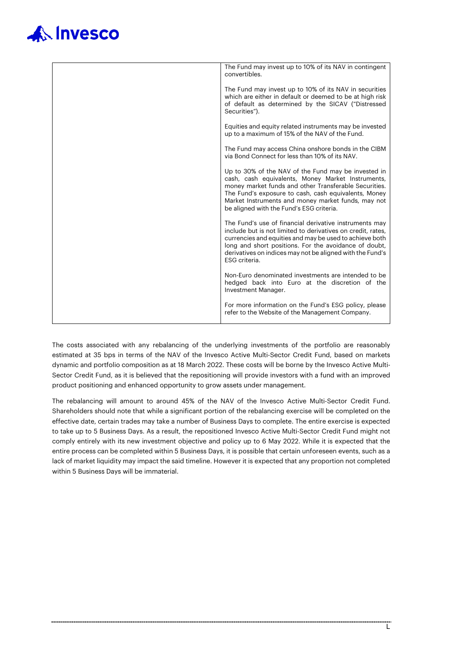| The Fund may invest up to 10% of its NAV in contingent<br>convertibles.                                                                                                                                                                                                                                                     |
|-----------------------------------------------------------------------------------------------------------------------------------------------------------------------------------------------------------------------------------------------------------------------------------------------------------------------------|
| The Fund may invest up to 10% of its NAV in securities<br>which are either in default or deemed to be at high risk<br>of default as determined by the SICAV ("Distressed<br>Securities").                                                                                                                                   |
| Equities and equity related instruments may be invested<br>up to a maximum of 15% of the NAV of the Fund.                                                                                                                                                                                                                   |
| The Fund may access China onshore bonds in the CIBM<br>via Bond Connect for less than 10% of its NAV.                                                                                                                                                                                                                       |
| Up to 30% of the NAV of the Fund may be invested in<br>cash, cash equivalents, Money Market Instruments,<br>money market funds and other Transferable Securities.<br>The Fund's exposure to cash, cash equivalents, Money<br>Market Instruments and money market funds, may not<br>be aligned with the Fund's ESG criteria. |
| The Fund's use of financial derivative instruments may<br>include but is not limited to derivatives on credit, rates,<br>currencies and equities and may be used to achieve both<br>long and short positions. For the avoidance of doubt,<br>derivatives on indices may not be aligned with the Fund's<br>ESG criteria.     |
| Non-Euro denominated investments are intended to be<br>hedged back into Euro at the discretion of the<br>Investment Manager.                                                                                                                                                                                                |
| For more information on the Fund's ESG policy, please<br>refer to the Website of the Management Company.                                                                                                                                                                                                                    |

The costs associated with any rebalancing of the underlying investments of the portfolio are reasonably estimated at 35 bps in terms of the NAV of the Invesco Active Multi-Sector Credit Fund, based on markets dynamic and portfolio composition as at 18 March 2022. These costs will be borne by the Invesco Active Multi-Sector Credit Fund, as it is believed that the repositioning will provide investors with a fund with an improved product positioning and enhanced opportunity to grow assets under management.

The rebalancing will amount to around 45% of the NAV of the Invesco Active Multi-Sector Credit Fund. Shareholders should note that while a significant portion of the rebalancing exercise will be completed on the effective date, certain trades may take a number of Business Days to complete. The entire exercise is expected to take up to 5 Business Days. As a result, the repositioned Invesco Active Multi-Sector Credit Fund might not comply entirely with its new investment objective and policy up to 6 May 2022. While it is expected that the entire process can be completed within 5 Business Days, it is possible that certain unforeseen events, such as a lack of market liquidity may impact the said timeline. However it is expected that any proportion not completed within 5 Business Days will be immaterial.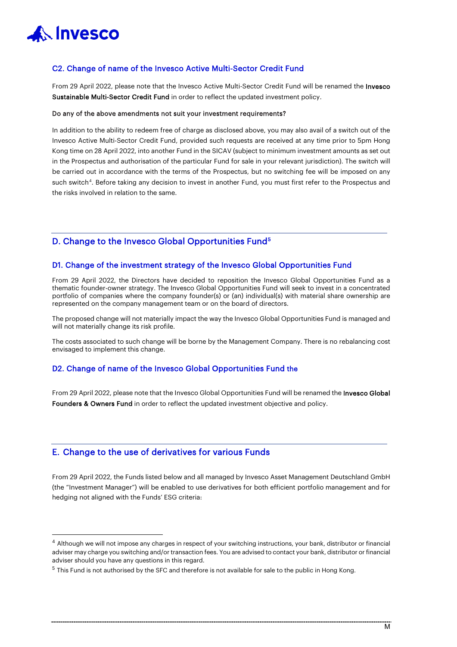

#### C2. Change of name of the Invesco Active Multi-Sector Credit Fund

From 29 April 2022, please note that the Invesco Active Multi-Sector Credit Fund will be renamed the Invesco Sustainable Multi-Sector Credit Fund in order to reflect the updated investment policy.

#### Do any of the above amendments not suit your investment requirements?

In addition to the ability to redeem free of charge as disclosed above, you may also avail of a switch out of the Invesco Active Multi-Sector Credit Fund, provided such requests are received at any time prior to 5pm Hong Kong time on 28 April 2022, into another Fund in the SICAV (subject to minimum investment amounts as set out in the Prospectus and authorisation of the particular Fund for sale in your relevant jurisdiction). The switch will be carried out in accordance with the terms of the Prospectus, but no switching fee will be imposed on any such switch<sup>[4](#page-13-0)</sup>. Before taking any decision to invest in another Fund, you must first refer to the Prospectus and the risks involved in relation to the same.

#### D. Change to the Invesco Global Opportunities Fund<sup>[5](#page-13-1)</sup>

#### D1. Change of the investment strategy of the Invesco Global Opportunities Fund

From 29 April 2022, the Directors have decided to reposition the Invesco Global Opportunities Fund as a thematic founder-owner strategy. The Invesco Global Opportunities Fund will seek to invest in a concentrated portfolio of companies where the company founder(s) or (an) individual(s) with material share ownership are represented on the company management team or on the board of directors.

The proposed change will not materially impact the way the Invesco Global Opportunities Fund is managed and will not materially change its risk profile.

The costs associated to such change will be borne by the Management Company. There is no rebalancing cost envisaged to implement this change.

#### D2. Change of name of the Invesco Global Opportunities Fund the

From 29 April 2022, please note that the Invesco Global Opportunities Fund will be renamed the Invesco Global Founders & Owners Fund in order to reflect the updated investment objective and policy.

### E. Change to the use of derivatives for various Funds

From 29 April 2022, the Funds listed below and all managed by Invesco Asset Management Deutschland GmbH (the "Investment Manager") will be enabled to use derivatives for both efficient portfolio management and for hedging not aligned with the Funds' ESG criteria:

<span id="page-13-0"></span><sup>&</sup>lt;sup>4</sup> Although we will not impose any charges in respect of your switching instructions, your bank, distributor or financial adviser may charge you switching and/or transaction fees. You are advised to contact your bank, distributor or financial adviser should you have any questions in this regard.

<span id="page-13-1"></span><sup>&</sup>lt;sup>5</sup> This Fund is not authorised by the SFC and therefore is not available for sale to the public in Hong Kong.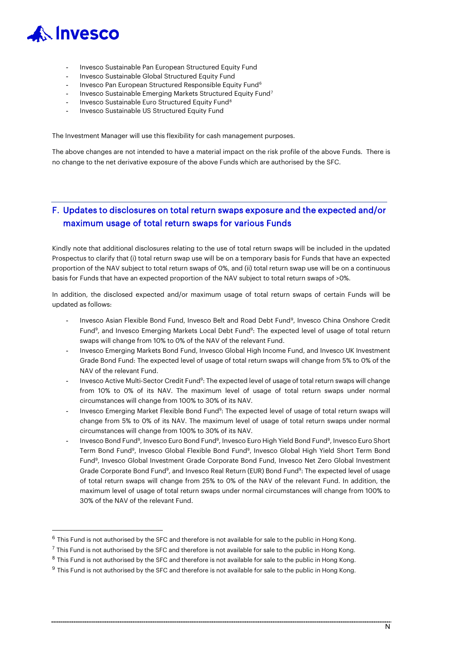

- Invesco Sustainable Pan European Structured Equity Fund
- Invesco Sustainable Global Structured Equity Fund
- Invesco Pan European Structured Responsible Equity Fund<sup>[6](#page-14-0)</sup>
- Invesco Sustainable Emerging Markets Structured Equity Fund<sup>[7](#page-14-1)</sup>
- Invesco Sustainable Euro Structured Equity Fund<sup>[8](#page-14-2)</sup>
- Invesco Sustainable US Structured Equity Fund

The Investment Manager will use this flexibility for cash management purposes.

The above changes are not intended to have a material impact on the risk profile of the above Funds. There is no change to the net derivative exposure of the above Funds which are authorised by the SFC.

## F. Updates to disclosures on total return swaps exposure and the expected and/or maximum usage of total return swaps for various Funds

Kindly note that additional disclosures relating to the use of total return swaps will be included in the updated Prospectus to clarify that (i) total return swap use will be on a temporary basis for Funds that have an expected proportion of the NAV subject to total return swaps of 0%, and (ii) total return swap use will be on a continuous basis for Funds that have an expected proportion of the NAV subject to total return swaps of >0%.

In addition, the disclosed expected and/or maximum usage of total return swaps of certain Funds will be updated as follows:

- Invesco Asian Flexible Bond Fund, Invesco Belt and Road Debt Fund[9](#page-14-3), Invesco China Onshore Credit Fund<sup>9</sup>, and Invesco Emerging Markets Local Debt Fund<sup>9</sup>: The expected level of usage of total return swaps will change from 10% to 0% of the NAV of the relevant Fund.
- Invesco Emerging Markets Bond Fund, Invesco Global High Income Fund, and Invesco UK Investment Grade Bond Fund: The expected level of usage of total return swaps will change from 5% to 0% of the NAV of the relevant Fund.
- Invesco Active Multi-Sector Credit Fund<sup>9</sup>: The expected level of usage of total return swaps will change from 10% to 0% of its NAV. The maximum level of usage of total return swaps under normal circumstances will change from 100% to 30% of its NAV.
- Invesco Emerging Market Flexible Bond Fund<sup>9</sup>: The expected level of usage of total return swaps will change from 5% to 0% of its NAV. The maximum level of usage of total return swaps under normal circumstances will change from 100% to 30% of its NAV.
- Invesco Bond Fund<sup>9</sup>, Invesco Euro Bond Fund<sup>9</sup>, Invesco Euro High Yield Bond Fund<sup>9</sup>, Invesco Euro Short Term Bond Fund9, Invesco Global Flexible Bond Fund9, Invesco Global High Yield Short Term Bond Fund9, Invesco Global Investment Grade Corporate Bond Fund, Invesco Net Zero Global Investment Grade Corporate Bond Fund<sup>9</sup>, and Invesco Real Return (EUR) Bond Fund<sup>9</sup>: The expected level of usage of total return swaps will change from 25% to 0% of the NAV of the relevant Fund. In addition, the maximum level of usage of total return swaps under normal circumstances will change from 100% to 30% of the NAV of the relevant Fund.

<span id="page-14-0"></span> $6$  This Fund is not authorised by the SFC and therefore is not available for sale to the public in Hong Kong.

<span id="page-14-1"></span> $7$  This Fund is not authorised by the SFC and therefore is not available for sale to the public in Hong Kong.

<span id="page-14-2"></span><sup>&</sup>lt;sup>8</sup> This Fund is not authorised by the SFC and therefore is not available for sale to the public in Hong Kong.

<span id="page-14-3"></span> $9$  This Fund is not authorised by the SFC and therefore is not available for sale to the public in Hong Kong.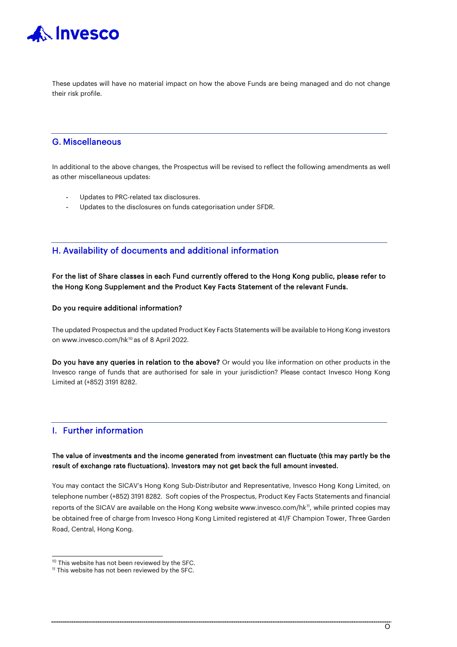

These updates will have no material impact on how the above Funds are being managed and do not change their risk profile.

### G. Miscellaneous

In additional to the above changes, the Prospectus will be revised to reflect the following amendments as well as other miscellaneous updates:

- Updates to PRC-related tax disclosures.
- Updates to the disclosures on funds categorisation under SFDR.

### H. Availability of documents and additional information

For the list of Share classes in each Fund currently offered to the Hong Kong public, please refer to the Hong Kong Supplement and the Product Key Facts Statement of the relevant Funds.

#### Do you require additional information?

The updated Prospectus and the updated Product Key Facts Statements will be available to Hong Kong investors on www.invesco.com/hk<sup>[10](#page-15-0)</sup> as of 8 April 2022.

Do you have any queries in relation to the above? Or would you like information on other products in the Invesco range of funds that are authorised for sale in your jurisdiction? Please contact Invesco Hong Kong Limited at (+852) 3191 8282.

### I. Further information

#### The value of investments and the income generated from investment can fluctuate (this may partly be the result of exchange rate fluctuations). Investors may not get back the full amount invested.

You may contact the SICAV's Hong Kong Sub-Distributor and Representative, Invesco Hong Kong Limited, on telephone number (+852) 3191 8282. Soft copies of the Prospectus, Product Key Facts Statements and financial reports of the SICAV are available on the Hong Kong website www.invesco.com/hk<sup>11</sup>, while printed copies may be obtained free of charge from Invesco Hong Kong Limited registered at 41/F Champion Tower, Three Garden Road, Central, Hong Kong.

<span id="page-15-0"></span><sup>&</sup>lt;sup>10</sup> This website has not been reviewed by the SFC.

<span id="page-15-1"></span> $11$  This website has not been reviewed by the SFC.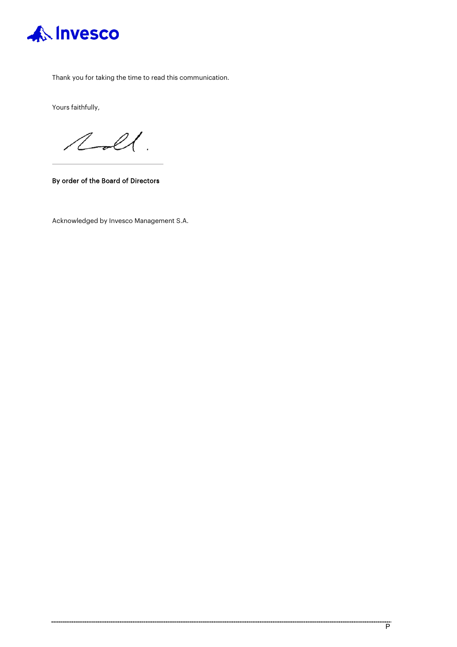

Thank you for taking the time to read this communication.

Yours faithfully,

 $2 - 2$ 

By order of the Board of Directors

Acknowledged by Invesco Management S.A.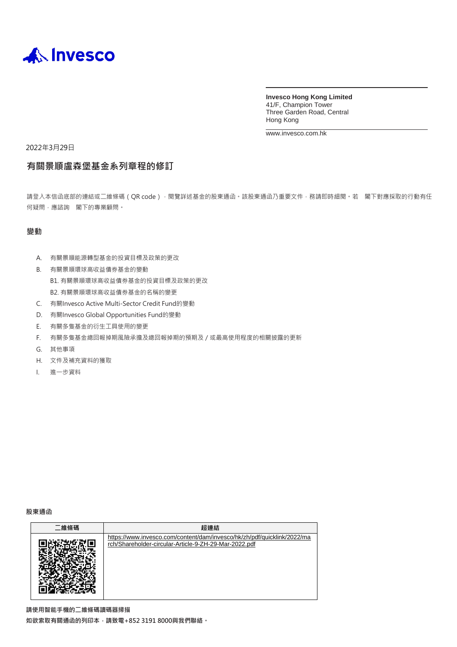

**Invesco Hong Kong Limited** 41/F, Champion Tower Three Garden Road, Central Hong Kong

[www.invesco.com.hk](http://www.invesco.com.hk/)

2022年3月29日

## **有關景順盧森堡基金系列章程的修訂**

請登入本信函底部的連結或二維條碼 (QR code), 閱覽詳述基金的股東通函。該股東通函乃重要文件, 務請即時細閱。若 閣下對應採取的行動有任 何疑問,應諮詢 閣下的專業顧問。

#### **變動**

- A. 有關景順能源轉型基金的投資目標及政策的更改
- B. 有關景順環球高收益債券基金的變動
	- B1. 有關景順環球高收益債券基金的投資目標及政策的更改 B2. 有關景順環球高收益債券基金的名稱的變更
- C. 有關Invesco Active Multi-Sector Credit Fund的變動
- D. 有關Invesco Global Opportunities Fund的變動
- E. 有關多隻基金的衍生工具使用的變更
- F. 有關多隻基金總回報掉期風險承擔及總回報掉期的預期及/或最高使用程度的相關披露的更新
- G. 其他事項
- H. 文件及補充資料的獲取
- I. 進一步資料

**股東通函**

| 二維條碼 | 超連結                                                                                                                              |
|------|----------------------------------------------------------------------------------------------------------------------------------|
|      | https://www.invesco.com/content/dam/invesco/hk/zh/pdf/quicklink/2022/ma<br>rch/Shareholder-circular-Article-9-ZH-29-Mar-2022.pdf |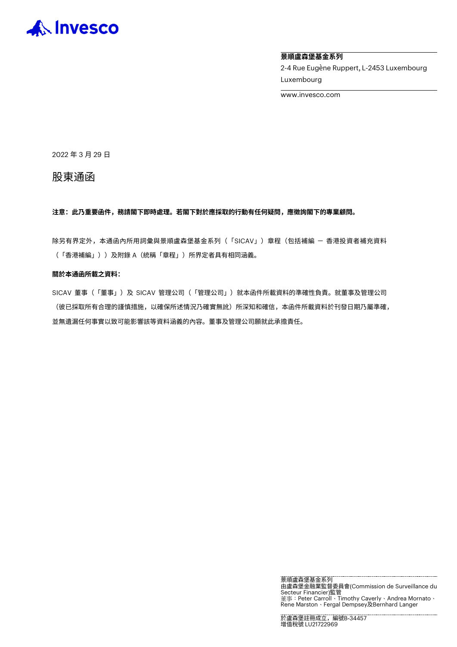

#### **景順盧森堡基金系列**

2-4 Rue Eugène Ruppert, L-2453 Luxembourg Luxembourg

www.invesco.com

2022 年 3 月 29 日

股東通函

**注意:此乃重要函件,務請閣下即時處理。若閣下對於應採取的行動有任何疑問,應徵詢閣下的專業顧問。**

除另有界定外,本通函內所用詞彙與景順盧森堡基金系列(「SICAV」)章程(包括補編 - 香港投資者補充資料 (「香港補編」))及附錄 A(統稱「章程」)所界定者具有相同涵義。

#### **關於本通函所載之資料:**

SICAV 董事(「董事」)及 SICAV 管理公司 (「管理公司」)就本函件所載資料的準確性負責。就董事及管理公司 (彼已採取所有合理的謹慎措施,以確保所述情況乃確實無訛)所深知和確信,本函件所載資料於刊發日期乃屬準確, 並無遺漏任何事實以致可能影響該等資料涵義的內容。董事及管理公司願就此承擔責任。

> 景順盧森堡基金系列 由盧森堡金融業監督委員會(Commission de Surveillance du Secteur Financier)監管 董事:Peter Carroll、Timothy Caverly、Andrea Mornato、 Rene Marston、Fergal Dempsey及Bernhard Langer

於盧森堡註冊成立,編號B-34457 增值稅號 LU21722969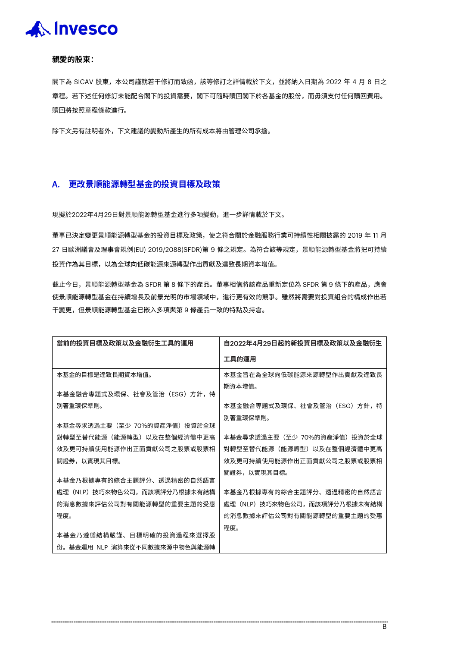#### **親愛的股東:**

閣下為 SICAV 股東,本公司謹就若干修訂而致函,該等修訂之詳情載於下文,並將納入日期為 2022 年 4 月 8 日之 章程。若下述任何修訂未能配合閣下的投資需要,閣下可隨時贖回閣下於各基金的股份,而毋須支付任何贖回費用。 贖回將按照章程條款進行。

除下文另有註明者外,下文建議的變動所產生的所有成本將由管理公司承擔。

#### A. **更改景順能源轉型基金的投資目標及政策**

現擬於2022年4月29日對景順能源轉型基金進行多項變動,進一步詳情載於下文。

董事已決定變更景順能源轉型基金的投資目標及政策,使之符合關於金融服務行業可持續性相關披露的 2019 年 11 月 27 日歐洲議會及理事會規例(EU) 2019/2088(SFDR)第 9 條之規定。為符合該等規定,景順能源轉型基金將把可持續 投資作為其目標,以為全球向低碳能源來源轉型作出貢獻及達致長期資本增值。

截止今日,景順能源轉型基金為 SFDR 第 8 條下的產品。董事相信將該產品重新定位為 SFDR 第 9 條下的產品,應會 使景順能源轉型基金在持續增長及前景光明的市場領域中,進行更有效的競爭。雖然將需要對投資組合的構成作出若 干變更,但景順能源轉型基金已嵌入多項與第 9 條產品一致的特點及持倉。

| 當前的投資目標及政策以及金融衍生工具的運用         | 自2022年4月29日起的新投資目標及政策以及金融衍生     |
|-------------------------------|---------------------------------|
|                               | 工具的運用                           |
| 本基金的目標是達致長期資本增值。              | 本基金旨在為全球向低碳能源來源轉型作出貢獻及達致長       |
| 本基金融合專題式及環保、社會及管治(ESG)方針,特    | 期資本增值。                          |
| 別著重環保準則。                      | 本基金融合專題式及環保、社會及管治(ESG)方針,特      |
| 本基金尋求透過主要(至少 70%的資產淨值)投資於全球   | 別著重環保準則。                        |
| 對轉型至替代能源(能源轉型)以及在整個經濟體中更高     | 本基金尋求透過主要(至少 70%的資產淨值)投資於全球     |
| 效及更可持續使用能源作出正面貢獻公司之股票或股票相     | 對轉型至替代能源(能源轉型)以及在整個經濟體中更高       |
| 關證券,以實現其目標。                   | 效及更可持續使用能源作出正面貢獻公司之股票或股票相       |
| 本基金乃根據專有的綜合主題評分、诱過精密的自然語言     | 關證券,以實現其目標。                     |
| - 處理(NLP)技巧來物色公司,而該項評分乃根據未有結構 | 本基金乃根據專有的綜合主題評分、诱過精密的自然語言       |
| 的消息數據來評估公司對有關能源轉型的重要主題的受惠     | (NLP)技巧來物色公司,而該項評分乃根據未有結構<br>處理 |
| 程度。                           | 的消息數據來評估公司對有關能源轉型的重要主題的受惠       |
| 本基金乃遵循結構嚴謹、目標明確的投資過程來選擇股      | 程度。                             |
| 份。基金運用 NLP 演算來從不同數據來源中物色與能源轉  |                                 |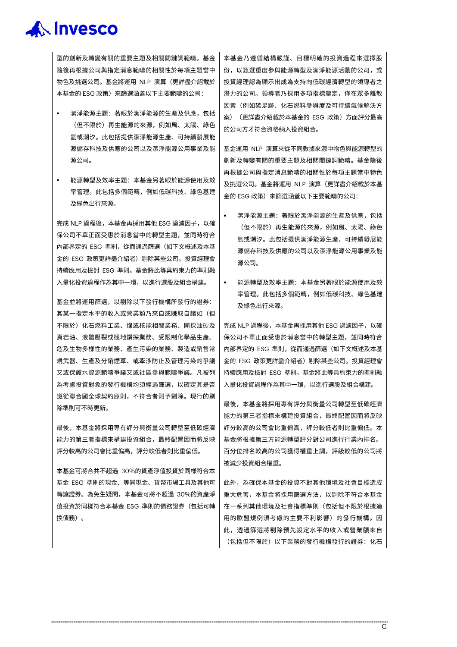型的創新及轉變有關的重要主題及相關關鍵詞範疇。基金 隨後再根據公司與指定消息範疇的相關性於每項主題當中 物色及挑選公司。基金將運用 NLP 演算(更詳盡介紹載於 本基金的 ESG 政策) 來篩選涵蓋以下主要範疇的公司:

- 潔淨能源主題:著眼於潔淨能源的生產及供應,包括 (但不限於)再生能源的來源,例如風、太陽、綠色 氫或潮汐。此包括提供潔淨能源生產、可持續發展能 源儲存科技及供應的公司以及潔淨能源公用事業及能 源公司。
- 能源轉型及效率主題:本基金另著眼於能源使用及效 率管理。此包括多個範疇,例如低碳科技、綠色基建 及綠色出行來源。

完成 NLP 過程後,本基金再採用其他 ESG 過濾因子,以確 保公司不單正面受惠於消息當中的轉型主題,並同時符合 內部界定的 ESG 準則,從而通過篩選(如下文概述及本基 金的 ESG 政策更詳盡介紹者)剔除某些公司。投資經理會 持續應用及檢討 ESG 準則。基金將此等具約束力的準則融 入量化投資過程作為其中一環,以進行選股及組合構建。

基金並將運用篩選,以剔除以下發行機構所發行的證券: 其某一指定水平的收入或營業額乃來自或賺取自諸如(但 不限於)化石燃料工業、煤或核能相關業務、開採油砂及 頁岩油、液體壓裂或極地鑽探業務、受限制化學品生產、 危及生物多樣性的業務、產生污染的業務、製造或銷售常 規武器、生產及分銷煙草、或牽涉防止及管理污染的爭議 又或保護水資源範疇爭議又或社區參與範疇爭議。凡被列 為考慮投資對象的發行機構均須經過篩選,以確定其是否 遵從聯合國全球契約原則,不符合者則予剔除。現行的剔 除準則可不時更新。

最後,本基金將採用專有評分與衡量公司轉型至低碳經濟 能力的第三者指標來構建投資組合,最終配置因而將反映 評分較高的公司會比重偏高,評分較低者則比重偏低。

本基金可將合共不超過 30%的資產淨值投資於同樣符合本 基金 ESG 準則的現金、等同現金、貨幣市場工具及其他可 轉讓證券。為免生疑問,本基金可將不超過 30%的資產淨 值投資於同樣符合本基金 ESG 準則的債務證券(包括可轉 換債務)。

本基金乃遵循結構嚴謹、目標明確的投資過程來選擇股 份,以甄選重度參與能源轉型及潔淨能源活動的公司,或 投資經理認為顯示出成為支持向低碳經濟轉型的領導者之 潛力的公司。領導者乃採用多項指標釐定,僅在眾多離散 因素(例如碳足跡、化石燃料參與度及可持續氣候解決方 案)(更詳盡介紹載於本基金的 ESG 政策)方面評分最高 的公司方才符合資格納入投資組合。

基金運用 NLP 演算來從不同數據來源中物色與能源轉型的 創新及轉變有關的重要主題及相關關鍵詞範疇。基金隨後 再根據公司與指定消息範疇的相關性於每項主題當中物色 及挑選公司。基金將運用 NLP 演算(更詳盡介紹載於本基 金的 ESG 政策) 來篩選涵蓋以下主要範疇的公司:

- 潔淨能源主題:著眼於潔淨能源的生產及供應,包括 (但不限於)再生能源的來源,例如風、太陽、綠色 氫或潮汐。此包括提供潔淨能源生產、可持續發展能 源儲存科技及供應的公司以及潔淨能源公用事業及能 源公司。
- 能源轉型及效率主題:本基金另著眼於能源使用及效 率管理。此包括多個範疇,例如低碳科技、綠色基建 及綠色出行來源。

完成 NLP 過程後,本基金再採用其他 ESG 過濾因子,以確 保公司不單正面受惠於消息當中的轉型主題,並同時符合 內部界定的 ESG 準則,從而通過篩選(如下文概述及本基 金的 ESG 政策更詳盡介紹者)剔除某些公司。投資經理會 持續應用及檢討 ESG 準則。基金將此等具約束力的準則融 入量化投資過程作為其中一環,以進行選股及組合構建。

最後,本基金將採用專有評分與衡量公司轉型至低碳經濟 能力的第三者指標來構建投資組合,最終配置因而將反映 評分較高的公司會比重偏高,評分較低者則比重偏低。本 基金將根據第三方能源轉型評分對公司進行行業內排名。 百分位排名較高的公司獲得權重上調,評級較低的公司將 被減少投資組合權重。

此外,為確保本基金的投資不對其他環境及社會目標造成 重大危害,本基金將採用篩選方法,以剔除不符合本基金 在一系列其他環境及社會指標準則(包括但不限於根據適 用的歐盟規例須考慮的主要不利影響)的發行機構。因 此,透過篩選將剔除預先設定水平的收入或營業額來自 (包括但不限於)以下業務的發行機構發行的證券:化石

 $\overline{C}$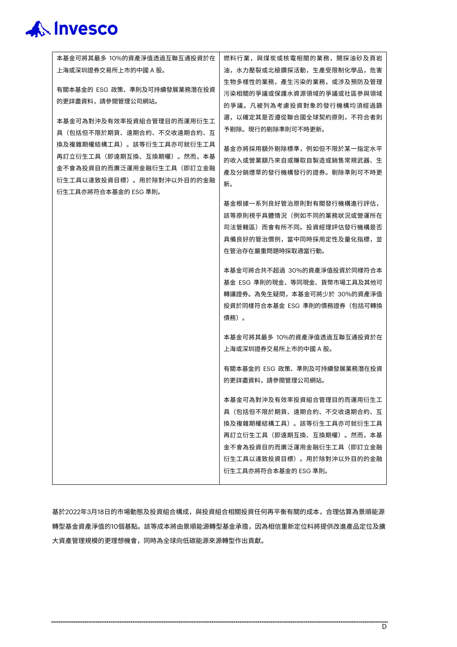| 本基金可將其最多 10%的資產淨值透過互聯互通投資於在  | 燃料行業,與煤炭或核電相關的業務,開採油砂及頁岩     |
|------------------------------|------------------------------|
| 上海或深圳證券交易所上市的中國 A 股。         | 油,水力壓裂或北極鑽探活動,生產受限制化學品,危害    |
|                              | 生物多樣性的業務,產生污染的業務,或涉及預防及管理    |
| 有關本基金的 ESG 政策、準則及可持續發展業務潛在投資 | 污染相關的爭議或保護水資源領域的爭議或社區參與領域    |
| 的更詳盡資料,請參閱管理公司網站。            | 的爭議。凡被列為考慮投資對象的發行機構均須經過篩     |
| 本基金可為對沖及有效率投資組合管理目的而運用衍生工    | 選,以確定其是否遵從聯合國全球契約原則,不符合者則    |
| 具(包括但不限於期貨、遠期合約、不交收遠期合約、互    | 予剔除。現行的剔除準則可不時更新。            |
| 換及複雜期權結構工具)。該等衍生工具亦可就衍生工具    |                              |
| 再訂立衍生工具(即遠期互換、互換期權)。然而,本基    | 基金亦將採用額外剔除標準,例如但不限於某一指定水平    |
| 金不會為投資目的而廣泛運用金融衍生工具(即訂立金融    | 的收入或營業額乃來自或賺取自製造或銷售常規武器、生    |
| 衍生工具以達致投資目標)。用於除對沖以外目的的金融    | 產及分銷煙草的發行機構發行的證券。剔除準則可不時更    |
| 衍生工具亦將符合本基金的 ESG 準則。         | 新。                           |
|                              | 基金根據一系列良好管治原則對有關發行機構進行評估,    |
|                              | 該等原則視乎具體情況(例如不同的業務狀況或營運所在    |
|                              | 司法管轄區)而會有所不同。投資經理評估發行機構是否    |
|                              | 具備良好的管治慣例,當中同時採用定性及量化指標,並    |
|                              | 在管治存在嚴重問題時採取適當行動。            |
|                              |                              |
|                              | 本基金可將合共不超過 30%的資產淨值投資於同樣符合本  |
|                              | 基金 ESG 準則的現金、等同現金、貨幣市場工具及其他可 |
|                              | 轉讓證券。為免生疑問,本基金可將少於 30%的資產淨值  |
|                              | 投資於同樣符合本基金 ESG 準則的債務證券(包括可轉換 |
|                              | 債務)。                         |
|                              | 本基金可將其最多 10%的資產淨值透過互聯互通投資於在  |
|                              | 上海或深圳證券交易所上市的中國 A 股。         |
|                              |                              |
|                              | 有關本基金的 ESG 政策、準則及可持續發展業務潛在投資 |
|                              | 的更詳盡資料,請參閱管理公司網站。            |
|                              | 本基金可為對沖及有效率投資組合管理目的而運用衍生工    |
|                              | 具(包括但不限於期貨、遠期合約、不交收遠期合約、互    |
|                              | 換及複雜期權結構工具)。該等衍生工具亦可就衍生工具    |
|                              | 再訂立衍生工具(即遠期互換、互換期權)。然而,本基    |
|                              | 金不會為投資目的而廣泛運用金融衍生工具(即訂立金融    |
|                              | 衍生工具以達致投資目標)。用於除對沖以外目的的金融    |
|                              | 衍生工具亦將符合本基金的 ESG 準則。         |
|                              |                              |

基於2022年3月18日的市場動態及投資組合構成,與投資組合相關投資任何再平衡有關的成本,合理估算為景順能源 轉型基金資產淨值的10個基點。該等成本將由景順能源轉型基金承擔,因為相信重新定位料將提供改進產品定位及擴 大資產管理規模的更理想機會,同時為全球向低碳能源來源轉型作出貢獻。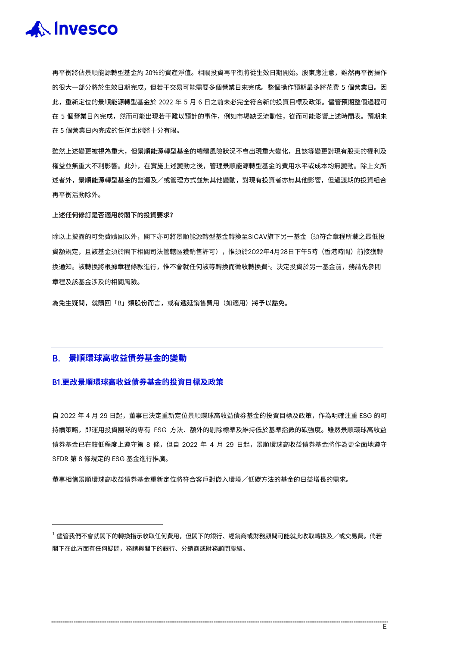

再平衡將佔景順能源轉型基金約 20%的資產淨值。相關投資再平衡將從生效日期開始。股東應注意,雖然再平衡操作 的很大一部分將於生效日期完成,但若干交易可能需要多個營業日來完成。整個操作預期最多將花費 5 個營業日。因 此,重新定位的景順能源轉型基金於 2022 年 5 月 6 日之前未必完全符合新的投資目標及政策。儘管預期整個過程可 在 5 個營業日內完成,然而可能出現若干難以預計的事件,例如市場缺乏流動性,從而可能影響上述時間表。預期未 在 5 個營業日內完成的任何比例將十分有限。

雖然上述變更被視為重大,但景順能源轉型基金的總體風險狀況不會出現重大變化,且該等變更對現有股東的權利及 權益並無重大不利影響。此外,在實施上述變動之後,管理景順能源轉型基金的費用水平或成本均無變動。除上文所 述者外,景順能源轉型基金的營運及/或管理方式並無其他變動,對現有投資者亦無其他影響,但過渡期的投資組合 再平衡活動除外。

#### **上述任何修訂是否適用於閣下的投資要求?**

除以上披露的可免費贖回以外,閣下亦可將景順能源轉型基金轉換至SICAV旗下另一基金(須符合章程所載之最低投 資額規定,且該基金須於閣下相關司法管轄區獲銷售許可),惟須於2022年4月28日下午5時(香港時間)前接獲轉 換通知。該轉換將根據草桯條款進行,惟不會就任何該等轉換而徵收轉換費<sup>」</sup>。決定投資於另一基金前,務請先參閱 章程及該基金涉及的相關風險。

為免生疑問,就贖回「B」類股份而言,或有遞延銷售費用(如適用)將予以豁免。

#### B. **景順環球高收益債券基金的變動**

#### B1.**更改景順環球高收益債券基金的投資目標及政策**

自 2022 年 4 月 29 日起,董事已決定重新定位景順環球高收益債券基金的投資目標及政策,作為明確注重 ESG 的可 持續策略,即運用投資團隊的專有 ESG 方法、額外的剔除標準及維持低於基準指數的碳強度。雖然景順環球高收益 債券基金已在較低程度上遵守第 8 條,但自 2022 年 4 月 29 日起,景順環球高收益債券基金將作為更全面地遵守 SFDR 第 8 條規定的 ESG 基金進行推廣。

董事相信景順環球高收益債券基金重新定位將符合客戶對嵌入環境/低碳方法的基金的日益增長的需求。

<span id="page-22-0"></span> $^{-1}$  儘管我們不會就閣下的轉換指示收取任何費用,但閣下的銀行、經銷商或財務顧問可能就此收取轉換及/或交易費。倘若 閣下在此方面有任何疑問,務請與閣下的銀行、分銷商或財務顧問聯絡。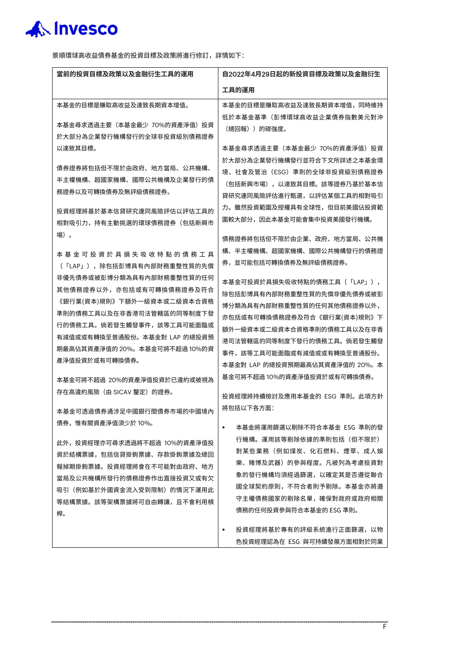

景順環球高收益債券基金的投資目標及政策將進行修訂,詳情如下:

| 當前的投資目標及政策以及金融衍生工具的運用                                                                                                                                                                                                                                                                                                                                 | 自2022年4月29日起的新投資目標及政策以及金融衍生                                                                                                                                                                                                                                                                                                                             |
|-------------------------------------------------------------------------------------------------------------------------------------------------------------------------------------------------------------------------------------------------------------------------------------------------------------------------------------------------------|---------------------------------------------------------------------------------------------------------------------------------------------------------------------------------------------------------------------------------------------------------------------------------------------------------------------------------------------------------|
|                                                                                                                                                                                                                                                                                                                                                       | 工具的運用                                                                                                                                                                                                                                                                                                                                                   |
| 本基金的目標是賺取高收益及達致長期資本增值。<br>本基金尋求透過主要(本基金最少 70%的資產淨值)投資                                                                                                                                                                                                                                                                                                 | 本基金的目標是賺取高收益及達致長期資本增值,同時維持<br>低於本基金基準(彭博環球高收益企業債券指數美元對沖<br>(總回報))的碳強度。                                                                                                                                                                                                                                                                                  |
| 於大部分為企業發行機構發行的全球非投資級別債務證券<br>以達致其目標。<br>債券證券將包括但不限於由政府、地方當局、公共機構、                                                                                                                                                                                                                                                                                     | 本基金尋求透過主要(本基金最少 70%的資產淨值)投資<br>於大部分為企業發行機構發行並符合下文所詳述之本基金環<br>境、社會及管治(ESG)準則的全球非投資級別債務證券                                                                                                                                                                                                                                                                 |
| 半主權機構、超國家機構、國際公共機構及企業發行的債<br>務證券以及可轉換債券及無評級債務證券。<br>投資經理將基於基本信貸研究連同風險評估以評估工具的                                                                                                                                                                                                                                                                         | (包括新興市場),以達致其目標。該等證券乃基於基本信<br>貸研究連同風險評估進行甄選,以評估某個工具的相對吸引<br>力。雖然投資範圍及授權具有全球性,但目前美國佔投資範<br>圍較大部分,因此本基金可能會集中投資美國發行機構。                                                                                                                                                                                                                                     |
| 相對吸引力,持有主動挑選的環球債務證券(包括新興市<br>場)。<br>本 基 金 可 投 資 於 具 損 失 吸 收 特 點 的 債 務 工 具                                                                                                                                                                                                                                                                             | 債務證券將包括但不限於由企業、政府、地方當局、公共機<br>構、半主權機構、超國家機構、國際公共機構發行的債務證                                                                                                                                                                                                                                                                                                |
| (「LAP」),除包括彭博具有內部財務重整性質的先償<br>非優先債券或被彭博分類為具有內部財務重整性質的任何<br>其他債務證券以外,亦包括或有可轉換債務證券及符合<br>《銀行業(資本)規則》下額外一級資本或二級資本合資格<br>準則的債務工具以及在非香港司法管轄區的同等制度下發<br>行的債務工具。倘若發生觸發事件,該等工具可能面臨或<br>有減值或或有轉換至普通股份。本基金對 LAP 的總投資預<br>期最高佔其資產淨值的 20%。本基金可將不超過 10%的資<br>產淨值投資於或有可轉換債券。<br>本基金可將不超過 20%的資產淨值投資於已違約或被視為<br>存在高違約風險(由 SICAV 釐定)的證券。<br>本基金可透過債券通涉足中國銀行間債券市場的中國境內 | 券,並可能包括可轉換債券及無評級債務證券。<br>本基金可投資於具損失吸收特點的債務工具(「LAP」),<br>除包括彭博具有內部財務重整性質的先償非優先債券或被彭<br>博分類為具有內部財務重整性質的任何其他債務證券以外,<br>亦包括或有可轉換債務證券及符合《銀行業(資本)規則》下<br>額外一級資本或二級資本合資格準則的債務工具以及在非香<br>港司法管轄區的同等制度下發行的債務工具。倘若發生觸發<br>事件,該等工具可能面臨或有減值或或有轉換至普通股份。<br>本基金對 LAP 的總投資預期最高佔其資產淨值的 20%。本<br>基金可將不超過 10%的資產淨值投資於或有可轉換債券。<br>投資經理將持續檢討及應用本基金的 ESG 準則。此項方針<br>將包括以下各方面: |
| 倩券,惟有關資產淨值須少於 10%。<br>此外,投資經理亦可尋求透過將不超過 10%的資產淨值投<br>資於結構票據,包括信貸掛鉤票據、存款掛鉤票據及總回<br>報掉期掛鉤票據。投資經理將會在不可能對由政府、地方<br>當局及公共機構所發行的債務證券作出直接投資又或有欠<br>吸引(例如基於外國資金流入受到限制)的情況下運用此<br>等結構票據。該等架構票據將可自由轉讓,且不會利用槓<br>桿。                                                                                                                                              | 本基金將運用篩選以剔除不符合本基金 ESG 準則的發<br>٠<br>行機構。運用該等剔除依據的準則包括(但不限於)<br>對某些業務(例如煤炭、化石燃料、煙草、成人娛<br>樂、賭博及武器)的參與程度。凡被列為考慮投資對<br>象的發行機構均須經過篩選,以確定其是否遵從聯合<br>國全球契約原則,不符合者則予剔除。本基金亦將遵<br>守主權債務國家的剔除名單,確保對政府或政府相關<br>債務的任何投資參與符合本基金的 ESG 準則。<br>投資經理將基於專有的評級系統進行正面篩選,以物<br>٠                                                                                             |
|                                                                                                                                                                                                                                                                                                                                                       | 色投資經理認為在 ESG 與可持續發展方面相對於同業                                                                                                                                                                                                                                                                                                                              |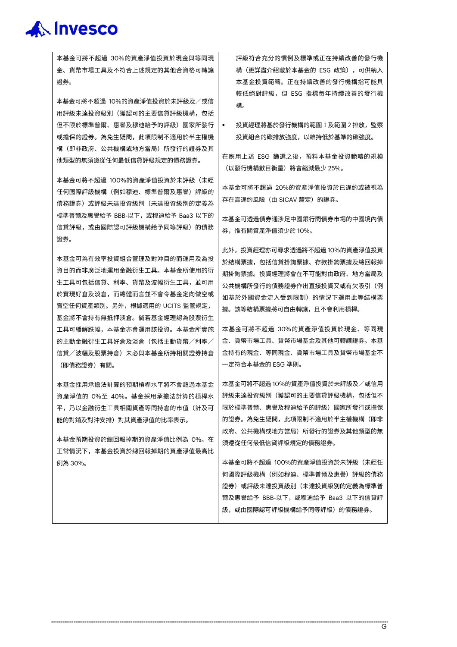本基金可將不超過 30%的資產淨值投資於現金與等同現 金、貨幣市場工具及不符合上述規定的其他合資格可轉讓 證券。

本基金可將不超過 10%的資產淨值投資於未評級及/或信 用評級未達投資級別(獲認可的主要信貸評級機構,包括 但不限於標準普爾、惠譽及穆迪給予的評級)國家所發行 或擔保的證券。為免生疑問,此項限制不適用於半主權機 構(即非政府、公共機構或地方當局)所發行的證券及其 他類型的無須遵從任何最低信貸評級規定的債務證券。

本基金可將不超過 100%的資產淨值投資於未評級(未經 任何國際評級機構(例如穆迪、標準普爾及惠譽)評級的 債務證券)或評級未達投資級別(未達投資級別的定義為 標準普爾及惠譽給予 BBB-以下,或穆迪給予 Baa3 以下的 信貸評級,或由國際認可評級機構給予同等評級)的債務 證券。

本基金可為有效率投資組合管理及對沖目的而運用及為投 資目的而非廣泛地運用金融衍生工具。本基金所使用的衍 生工具可包括信貸、利率、貨幣及波幅衍生工具,並可用 於實現好倉及淡倉,而總體而言並不會令基金定向做空或 賣空任何資產類別。另外,根據適用的 UCITS 監管規定, 基金將不會持有無抵押淡倉。倘若基金經理認為股票衍生 工具可緩解跌幅,本基金亦會運用該投資。本基金所實施 的主動金融衍生工具好倉及淡倉(包括主動貨幣/利率/ 信貸/波幅及股票持倉)未必與本基金所持相關證券持倉 (即債務證券)有關。

本基金採用承擔法計算的預期槓桿水平將不會超過本基金 資產淨值的 0%至 40%。基金採用承擔法計算的槓桿水 平,乃以金融衍生工具相關資產等同持倉的市值(計及可 能的對銷及對沖安排)對其資產淨值的比率表示。

本基金預期投資於總回報掉期的資產淨值比例為 0%。在 正常情況下,本基金投資於總回報掉期的資產淨值最高比 例為 30%。

評級符合充分的慣例及標準或正在持續改善的發行機 構(更詳盡介紹載於本基金的 ESG 政策),可供納入 本基金投資範疇。正在持續改善的發行機構指可能具 較低絕對評級,但 ESG 指標每年持續改善的發行機 構。

 投資經理將基於發行機構的範圍 1 及範圍 2 排放,監察 投資組合的碳排放強度,以維持低於基準的碳強度。

在應用上述 ESG 篩選之後,預料本基金投資範疇的規模 (以發行機構數目衡量)將會縮減最少 25%。

本基金可將不超過 20%的資產淨值投資於已違約或被視為 存在高違約風險(由 SICAV 釐定)的證券。

本基金可透過債券通涉足中國銀行間債券市場的中國境內債 券,惟有關資產淨值須少於 10%。

此外,投資經理亦可尋求透過將不超過 10%的資產淨值投資 於結構票據,包括信貸掛鉤票據、存款掛鉤票據及總回報掉 期掛鉤票據。投資經理將會在不可能對由政府、地方當局及 公共機構所發行的債務證券作出直接投資又或有欠吸引(例 如基於外國資金流入受到限制)的情況下運用此等結構票 據。該等結構票據將可自由轉讓,且不會利用槓桿。

本基金可將不超過 30%的資產淨值投資於現金、等同現 金、貨幣市場工具、貨幣市場基金及其他可轉讓證券。本基 金持有的現金、等同現金、貨幣市場工具及貨幣市場基金不 一定符合本基金的 ESG 準則。

本基金可將不超過 10%的資產淨值投資於未評級及/或信用 評級未達投資級別(獲認可的主要信貸評級機構,包括但不 限於標準普爾、惠譽及穆迪給予的評級)國家所發行或擔保 的證券。為免生疑問,此項限制不適用於半主權機構(即非 政府、公共機構或地方當局)所發行的證券及其他類型的無 須遵從任何最低信貸評級規定的債務證券。

本基金可將不超過 100%的資產淨值投資於未評級(未經任 何國際評級機構(例如穆迪、標準普爾及惠譽)評級的債務 證券)或評級未達投資級別(未達投資級別的定義為標準普 爾及惠譽給予 BBB-以下,或穆迪給予 Baa3 以下的信貸評 級,或由國際認可評級機構給予同等評級)的債務證券。

 $\overline{G}$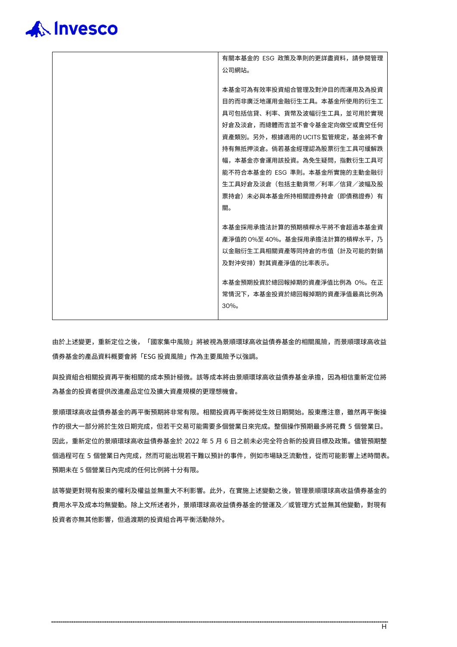

有關本基金的 ESG 政策及準則的更詳盡資料,請參閱管理 公司網站。 本基金可為有效率投資組合管理及對沖目的而運用及為投資 目的而非廣泛地運用金融衍生工具。本基金所使用的衍生工 具可包括信貸、利率、貨幣及波幅衍生工具,並可用於實現 好倉及淡倉,而總體而言並不會令基金定向做空或賣空任何 資產類別。另外,根據適用的UCITS監管規定,基金將不會 持有無抵押淡倉。倘若基金經理認為股票衍生工具可緩解跌 幅,本基金亦會運用該投資。為免生疑問,指數衍生工具可 能不符合本基金的 ESG 準則。本基金所實施的主動金融衍 生工具好倉及淡倉(包括主動貨幣/利率/信貸/波幅及股 票持倉)未必與本基金所持相關證券持倉(即債務證券)有 關。 本基金採用承擔法計算的預期槓桿水平將不會超過本基金資 產淨值的 0%至 40%。基金採用承擔法計算的槓桿水平,乃 以金融衍生工具相關資產等同持倉的市值(計及可能的對銷 及對沖安排)對其資產淨值的比率表示。 本基金預期投資於總回報掉期的資產淨值比例為 0%。在正 常情況下,本基金投資於總回報掉期的資產淨值最高比例為 30%。

由於上述變更,重新定位之後,「國家集中風險」將被視為景順環球高收益債券基金的相關風險,而景順環球高收益 債券基金的產品資料概要會將「ESG 投資風險」作為主要風險予以強調。

與投資組合相關投資再平衡相關的成本預計極微。該等成本將由景順環球高收益債券基金承擔,因為相信重新定位將 為基金的投資者提供改進產品定位及擴大資產規模的更理想機會。

景順環球高收益債券基金的再平衡預期將非常有限。相關投資再平衡將從生效日期開始。股東應注意,雖然再平衡操 作的很大一部分將於生效日期完成,但若干交易可能需要多個營業日來完成。整個操作預期最多將花費 5 個營業日。 因此,重新定位的景順環球高收益債券基金於 2022 年 5 月 6 日之前未必完全符合新的投資目標及政策。儘管預期整 個過程可在 5 個營業日內完成,然而可能出現若干難以預計的事件,例如市場缺乏流動性,從而可能影響上述時間表。 預期未在 5 個營業日內完成的任何比例將十分有限。

該等變更對現有股東的權利及權益並無重大不利影響。此外,在實施上述變動之後,管理景順環球高收益債券基金的 費用水平及成本均無變動。除上文所述者外,景順環球高收益債券基金的營運及/或管理方式並無其他變動,對現有 投資者亦無其他影響,但過渡期的投資組合再平衡活動除外。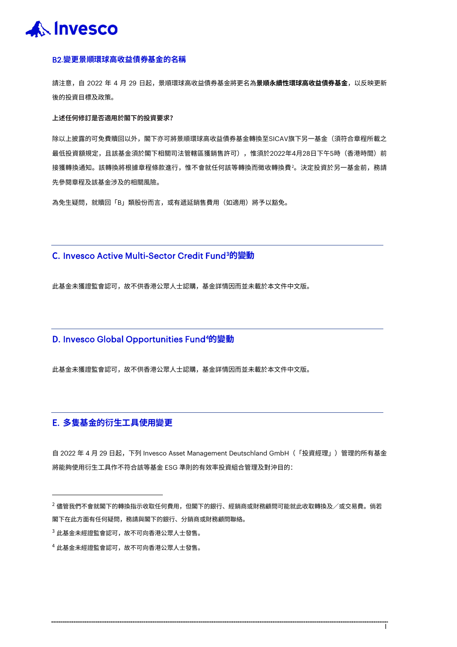

#### B2.**變更景順環球高收益債券基金的名稱**

請注意,自 2022 年 4 月 29 日起,景順環球高收益債券基金將更名為**景順永續性環球高收益債券基金**,以反映更新 後的投資目標及政策。

#### **上述任何修訂是否適用於閣下的投資要求?**

除以上披露的可免費贖回以外,閣下亦可將景順環球高收益債券基金轉換至SICAV旗下另一基金(須符合章程所載之 最低投資額規定,且該基金須於閣下相關司法管轄區獲銷售許可),惟須於2022年4月28日下午5時(香港時間)前 接獲轉換通知。該轉換將根據章程條款進行,惟不會就任何該等轉換而徵收轉換費<sup>[2](#page-26-0)</sup>。決定投資於另一基金前,務請 先參閱章程及該基金涉及的相關風險。

為免生疑問,就贖回「B」類股份而言,或有遞延銷售費用(如適用)將予以豁免。

### C. Invesco Active Multi-Sector Credit Fund[3](#page-26-1) **的變動**

此基金未獲證監會認可,故不供香港公眾人士認購,基金詳情因而並未載於本文件中文版。

## D. Invesco Global Opportunities Fund[4](#page-26-2) **的變動**

此基金未獲證監會認可,故不供香港公眾人士認購,基金詳情因而並未載於本文件中文版。

### E. **多隻基金的衍生工具使用變更**

自 2022 年 4 月 29 日起,下列 Invesco Asset Management Deutschland GmbH(「投資經理」)管理的所有基金 將能夠使用衍生工具作不符合該等基金 ESG 準則的有效率投資組合管理及對沖目的:

I

<span id="page-26-0"></span> $^2$ 儘管我們不會就閣下的轉換指示收取任何費用,但閣下的銀行、經銷商或財務顧問可能就此收取轉換及/或交易費。倘若 閣下在此方面有任何疑問,務請與閣下的銀行、分銷商或財務顧問聯絡。

<span id="page-26-1"></span> $^3$  此基金未經證監會認可,故不可向香港公眾人士發售。

<span id="page-26-2"></span><sup>4</sup> 此基金未經證監會認可,故不可向香港公眾人士發售。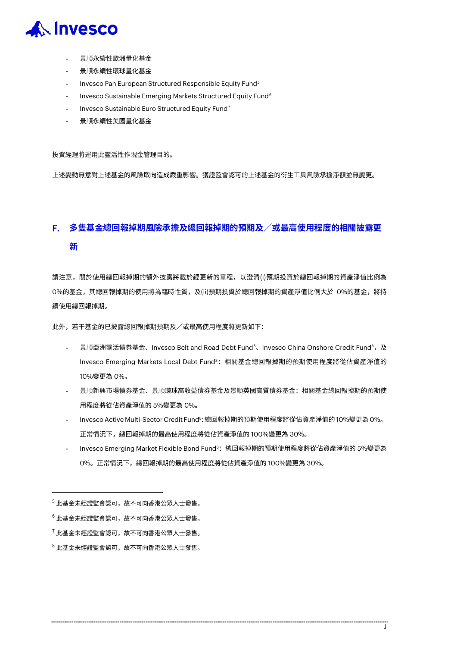

- 景順永續性歐洲量化基金
- 景順永續性環球量化基金
- Invesco Pan European Structured Responsible Equity Fund<sup>[5](#page-27-0)</sup>
- Invesco Sustainable Emerging Markets Structured Equity Fund<sup>[6](#page-27-1)</sup>
- Invesco Sustainable Euro Structured Equity Fund<sup>[7](#page-27-2)</sup>
- 景順永續性美國量化基金

#### 投資經理將運用此靈活性作現金管理目的。

上述變動無意對上述基金的風險取向造成嚴重影響。獲證監會認可的上述基金的衍生工具風險承擔淨額並無變更。

## F. **多隻基金總回報掉期風險承擔及總回報掉期的預期及/或最高使用程度的相關披露更 新**

請注意,關於使用總回報掉期的額外披露將載於經更新的章程,以澄清(i)預期投資於總回報掉期的資產淨值比例為 0%的基金,其總回報掉期的使用將為臨時性質,及(ii)預期投資於總回報掉期的資產淨值比例大於 0%的基金,將持 續使用總回報掉期。

此外,若干基金的已披露總回報掉期預期及/或最高使用程度將更新如下:

- 景順亞洲靈活債券基金、Invesco Belt and Road Debt Fund<sup>s</sup>、Invesco China Onshore Credit Fund<sup>[8](#page-27-3)</sup>,及 Invesco Emerging Markets Local Debt Fund<sup>8</sup>: 相關基金總回報掉期的預期使用程度將從佔資產淨值的 10%變更為 0%。
- 景順新興市場債券基金、景順環球高收益債券基金及景順英國高質債券基金:相關基金總回報掉期的預期使 用程度將從佔資產淨值的 5%變更為 0%。
- Invesco Active Multi-Sector Credit Fund<sup>8</sup>: 總回報掉期的預期使用程度將從佔資產淨值的 10%變更為 0%。 正常情況下,總回報掉期的最高使用程度將從佔資產淨值的 100%變更為 30%。
- Invesco Emerging Market Flexible Bond Fund<sup>8</sup>: 總回報掉期的預期使用程度將從佔資產淨值的 5%變更為 0%。正常情況下,總回報掉期的最高使用程度將從佔資產淨值的 100%變更為 30%。

J

<span id="page-27-0"></span><sup>5</sup> 此基金未經證監會認可,故不可向香港公眾人士發售。

<span id="page-27-1"></span><sup>6</sup> 此基金未經證監會認可,故不可向香港公眾人士發售。

<span id="page-27-2"></span> $^7$ 此基金未經證監會認可,故不可向香港公眾人士發售。

<span id="page-27-3"></span> $8$  此基金未經證監會認可,故不可向香港公眾人士發售。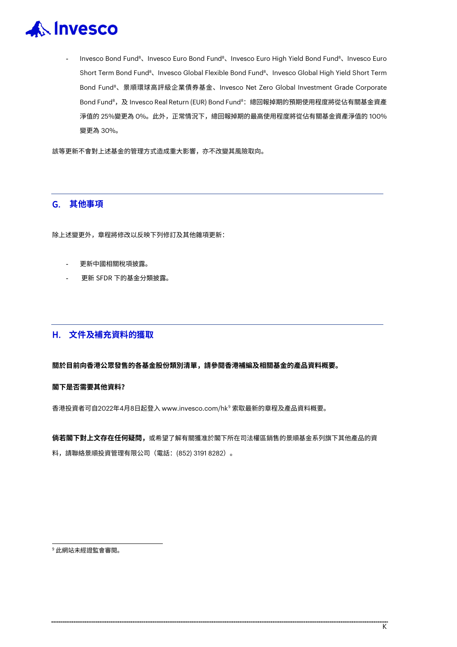

Invesco Bond Fund<sup>8</sup>、Invesco Euro Bond Fund<sup>8</sup>、Invesco Euro High Yield Bond Fund<sup>8</sup>、Invesco Euro Short Term Bond Fund $^{\rm 8}$ 、Invesco Global Flexible Bond Fund $^{\rm 8}$ 、Invesco Global High Yield Short Term Bond Fund8、景順環球高評級企業債券基金、Invesco Net Zero Global Investment Grade Corporate Bond Fund<sup>8</sup>, 及 Invesco Real Return (EUR) Bond Fund<sup>8</sup>: 總回報掉期的預期使用程度將從佔有關基金資產 淨值的 25%變更為 0%。此外,正常情況下,總回報掉期的最高使用程度將從佔有關基金資產淨值的 100% 變更為 30%。

該等更新不會對上述基金的管理方式造成重大影響,亦不改變其風險取向。

#### G. **其他事項**

除上述變更外,章程將修改以反映下列修訂及其他雜項更新:

- 更新中國相關稅項披露。
- 更新 SFDR 下的基金分類披露。

### H. **文件及補充資料的獲取**

**關於目前向香港公眾發售的各基金股份類別清單,請參閱香港補編及相關基金的產品資料概要。**

#### **閣下是否需要其他資料?**

香港投資者可自2022年4月8日起登入 www.invesco.com/hk[9](#page-28-0) 索取最新的章程及產品資料概要。

**倘若閣下對上文存在任何疑問,**或希望了解有關獲准於閣下所在司法權區銷售的景順基金系列旗下其他產品的資 料,請聯絡景順投資管理有限公司(電話:(852) 3191 8282)。

<span id="page-28-0"></span><sup>9</sup> 此網站未經證監會審閱。